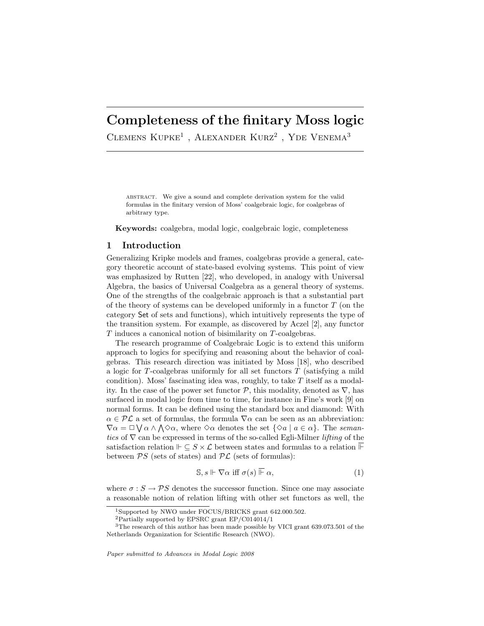# Completeness of the finitary Moss logic

CLEMENS  $KUPKE<sup>1</sup>$ . ALEXANDER  $KURZ<sup>2</sup>$ . YDE VENEMA<sup>3</sup>

abstract. We give a sound and complete derivation system for the valid formulas in the finitary version of Moss' coalgebraic logic, for coalgebras of arbitrary type.

Keywords: coalgebra, modal logic, coalgebraic logic, completeness

## 1 Introduction

Generalizing Kripke models and frames, coalgebras provide a general, category theoretic account of state-based evolving systems. This point of view was emphasized by Rutten [22], who developed, in analogy with Universal Algebra, the basics of Universal Coalgebra as a general theory of systems. One of the strengths of the coalgebraic approach is that a substantial part of the theory of systems can be developed uniformly in a functor  $T$  (on the category Set of sets and functions), which intuitively represents the type of the transition system. For example, as discovered by Aczel [2], any functor T induces a canonical notion of bisimilarity on T-coalgebras.

The research programme of Coalgebraic Logic is to extend this uniform approach to logics for specifying and reasoning about the behavior of coalgebras. This research direction was initiated by Moss [18], who described a logic for T-coalgebras uniformly for all set functors  $T$  (satisfying a mild condition). Moss' fascinating idea was, roughly, to take T itself as a modality. In the case of the power set functor  $P$ , this modality, denoted as  $\nabla$ , has surfaced in modal logic from time to time, for instance in Fine's work [9] on normal forms. It can be defined using the standard box and diamond: With  $\alpha \in \mathcal{PL}$  a set of formulas, the formula  $\nabla \alpha$  can be seen as an abbreviation:  $\nabla \alpha = \Box \bigvee \alpha \wedge \bigwedge \Diamond \alpha$ , where  $\Diamond \alpha$  denotes the set  $\{\Diamond a \mid a \in \alpha\}$ . The semantics of  $\nabla$  can be expressed in terms of the so-called Egli-Milner *lifting* of the satisfaction relation  $\Vdash \subseteq S \times \mathcal{L}$  between states and formulas to a relation  $\overline{\Vdash}$ between  $PS$  (sets of states) and  $PL$  (sets of formulas):

$$
\mathbb{S}, s \Vdash \nabla \alpha \text{ iff } \sigma(s) \overline{\Vdash} \alpha,
$$
\n<sup>(1)</sup>

where  $\sigma : S \to PS$  denotes the successor function. Since one may associate a reasonable notion of relation lifting with other set functors as well, the

Paper submitted to Advances in Modal Logic 2008

<sup>1</sup>Supported by NWO under FOCUS/BRICKS grant 642.000.502.

<sup>2</sup>Partially supported by EPSRC grant EP/C014014/1

<sup>&</sup>lt;sup>3</sup>The research of this author has been made possible by VICI grant 639.073.501 of the Netherlands Organization for Scientific Research (NWO).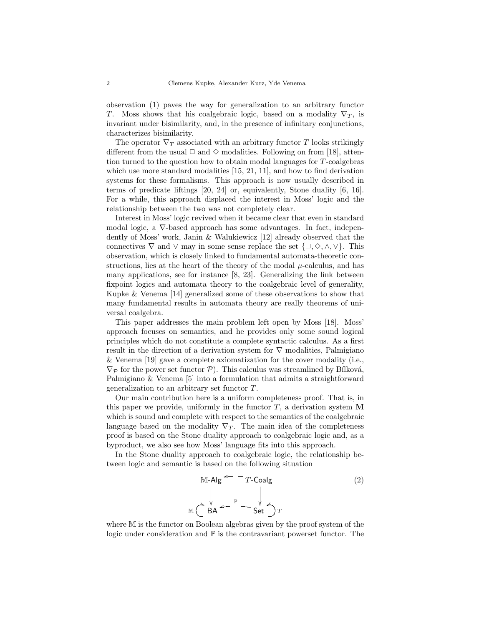observation (1) paves the way for generalization to an arbitrary functor T. Moss shows that his coalgebraic logic, based on a modality  $\nabla_T$ , is invariant under bisimilarity, and, in the presence of infinitary conjunctions, characterizes bisimilarity.

The operator  $\nabla_T$  associated with an arbitrary functor T looks strikingly different from the usual  $\Box$  and  $\diamond$  modalities. Following on from [18], attention turned to the question how to obtain modal languages for T-coalgebras which use more standard modalities [15, 21, 11], and how to find derivation systems for these formalisms. This approach is now usually described in terms of predicate liftings [20, 24] or, equivalently, Stone duality [6, 16]. For a while, this approach displaced the interest in Moss' logic and the relationship between the two was not completely clear.

Interest in Moss' logic revived when it became clear that even in standard modal logic, a ∇-based approach has some advantages. In fact, independently of Moss' work, Janin & Walukiewicz [12] already observed that the connectives  $\nabla$  and  $\vee$  may in some sense replace the set  $\{\Box, \Diamond, \wedge, \vee\}.$  This observation, which is closely linked to fundamental automata-theoretic constructions, lies at the heart of the theory of the modal  $\mu$ -calculus, and has many applications, see for instance [8, 23]. Generalizing the link between fixpoint logics and automata theory to the coalgebraic level of generality, Kupke & Venema [14] generalized some of these observations to show that many fundamental results in automata theory are really theorems of universal coalgebra.

This paper addresses the main problem left open by Moss [18]. Moss' approach focuses on semantics, and he provides only some sound logical principles which do not constitute a complete syntactic calculus. As a first result in the direction of a derivation system for  $\nabla$  modalities, Palmigiano & Venema [19] gave a complete axiomatization for the cover modality (i.e.,  $\nabla_{\mathcal{P}}$  for the power set functor  $\mathcal{P}$ ). This calculus was streamlined by Bílková, Palmigiano & Venema [5] into a formulation that admits a straightforward generalization to an arbitrary set functor T.

Our main contribution here is a uniform completeness proof. That is, in this paper we provide, uniformly in the functor  $T$ , a derivation system M which is sound and complete with respect to the semantics of the coalgebraic language based on the modality  $\nabla_T$ . The main idea of the completeness proof is based on the Stone duality approach to coalgebraic logic and, as a byproduct, we also see how Moss' language fits into this approach.

In the Stone duality approach to coalgebraic logic, the relationship between logic and semantic is based on the following situation

$$
M - Alg \xrightarrow{\mathbb{P}} T - Coalg
$$
\n
$$
M \xrightarrow{\mathbb{P}} \begin{array}{ccc}\n & & \\
& & \\
& & \\
M & & \n\end{array}
$$
\n
$$
M \xrightarrow{\mathbb{P}} T
$$
\n
$$
Set \xrightarrow{\mathbb{P}} T
$$
\n(2)

where M is the functor on Boolean algebras given by the proof system of the logic under consideration and  $\mathbb P$  is the contravariant powerset functor. The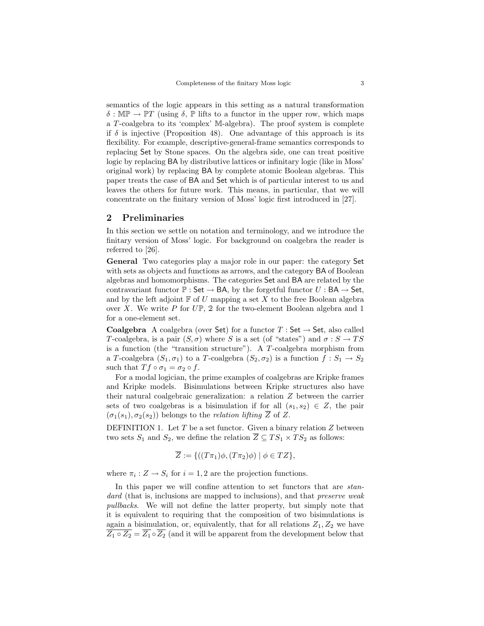semantics of the logic appears in this setting as a natural transformation  $\delta : \mathbb{MP} \to \mathbb{PT}$  (using  $\delta$ ,  $\mathbb P$  lifts to a functor in the upper row, which maps a T-coalgebra to its 'complex' M-algebra). The proof system is complete if  $\delta$  is injective (Proposition 48). One advantage of this approach is its flexibility. For example, descriptive-general-frame semantics corresponds to replacing Set by Stone spaces. On the algebra side, one can treat positive logic by replacing BA by distributive lattices or infinitary logic (like in Moss' original work) by replacing BA by complete atomic Boolean algebras. This paper treats the case of BA and Set which is of particular interest to us and leaves the others for future work. This means, in particular, that we will concentrate on the finitary version of Moss' logic first introduced in [27].

## 2 Preliminaries

In this section we settle on notation and terminology, and we introduce the finitary version of Moss' logic. For background on coalgebra the reader is referred to [26].

General Two categories play a major role in our paper: the category Set with sets as objects and functions as arrows, and the category BA of Boolean algebras and homomorphisms. The categories Set and BA are related by the contravariant functor  $\mathbb{P}:$  Set  $\rightarrow$  BA, by the forgetful functor  $U:$  BA  $\rightarrow$  Set, and by the left adjoint  $\mathbb F$  of  $U$  mapping a set  $X$  to the free Boolean algebra over X. We write P for  $U\mathbb{P}$ , 2 for the two-element Boolean algebra and 1 for a one-element set.

**Coalgebra** A coalgebra (over Set) for a functor  $T : Set \rightarrow Set$ , also called T-coalgebra, is a pair  $(S, \sigma)$  where S is a set (of "states") and  $\sigma : S \to TS$ is a function (the "transition structure"). A T-coalgebra morphism from a T-coalgebra  $(S_1, \sigma_1)$  to a T-coalgebra  $(S_2, \sigma_2)$  is a function  $f : S_1 \to S_2$ such that  $T f \circ \sigma_1 = \sigma_2 \circ f$ .

For a modal logician, the prime examples of coalgebras are Kripke frames and Kripke models. Bisimulations between Kripke structures also have their natural coalgebraic generalization: a relation Z between the carrier sets of two coalgebras is a bisimulation if for all  $(s_1, s_2) \in Z$ , the pair  $(\sigma_1(s_1), \sigma_2(s_2))$  belongs to the *relation lifting* Z of Z.

DEFINITION 1. Let  $T$  be a set functor. Given a binary relation  $Z$  between two sets  $S_1$  and  $S_2$ , we define the relation  $\overline{Z} \subseteq TS_1 \times TS_2$  as follows:

$$
\overline{Z} := \{((T\pi_1)\phi, (T\pi_2)\phi) \mid \phi \in TZ\},\
$$

where  $\pi_i: Z \to S_i$  for  $i = 1, 2$  are the projection functions.

In this paper we will confine attention to set functors that are *stan*dard (that is, inclusions are mapped to inclusions), and that *preserve weak* pullbacks. We will not define the latter property, but simply note that it is equivalent to requiring that the composition of two bisimulations is again a bisimulation, or, equivalently, that for all relations  $Z_1, Z_2$  we have  $\overline{Z_1 \circ Z_2} = \overline{Z_1} \circ \overline{Z_2}$  (and it will be apparent from the development below that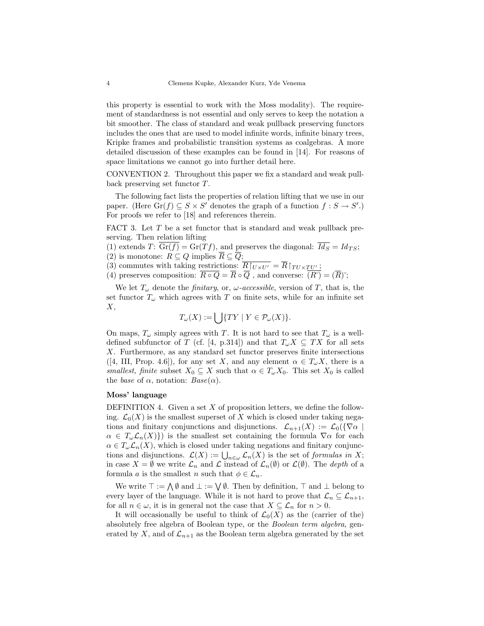this property is essential to work with the Moss modality). The requirement of standardness is not essential and only serves to keep the notation a bit smoother. The class of standard and weak pullback preserving functors includes the ones that are used to model infinite words, infinite binary trees, Kripke frames and probabilistic transition systems as coalgebras. A more detailed discussion of these examples can be found in [14]. For reasons of space limitations we cannot go into further detail here.

CONVENTION 2. Throughout this paper we fix a standard and weak pullback preserving set functor T.

The following fact lists the properties of relation lifting that we use in our paper. (Here  $\text{Gr}(f) \subseteq S \times S'$  denotes the graph of a function  $f : S \to S'$ .) For proofs we refer to [18] and references therein.

FACT 3. Let T be a set functor that is standard and weak pullback preserving. Then relation lifting

(1) extends T:  $\text{Gr}(f) = \text{Gr}(Tf)$ , and preserves the diagonal:  $\overline{Id_S} = Id_{TS}$ ;

(2) is monotone:  $R \subseteq Q$  implies  $R \subseteq Q$ ;

(3) commutes with taking restrictions:  $\overline{R|_{U\times U'}} = \overline{R}|_{TU\times TU'}$ ;

(4) preserves composition:  $\overline{R \circ Q} = \overline{R} \circ \overline{Q}$ , and converse:  $\overline{(R^{\circ})} = (\overline{R})^{\circ}$ ;

We let  $T_{\omega}$  denote the *finitary*, or,  $\omega$ -accessible, version of T, that is, the set functor  $T_{\omega}$  which agrees with T on finite sets, while for an infinite set  $X,$ 

$$
T_{\omega}(X):=\bigcup\{TY\mid Y\in\mathcal{P}_{\omega}(X)\}.
$$

On maps,  $T_{\omega}$  simply agrees with T. It is not hard to see that  $T_{\omega}$  is a welldefined subfunctor of T (cf. [4, p.314]) and that  $T_{\omega}X \subseteq TX$  for all sets X. Furthermore, as any standard set functor preserves finite intersections ([4, III, Prop. 4.6]), for any set X, and any element  $\alpha \in T_{\omega}X$ , there is a smallest, finite subset  $X_0 \subseteq X$  such that  $\alpha \in T_\omega X_0$ . This set  $X_0$  is called the base of  $\alpha$ , notation:  $Base(\alpha)$ .

## Moss' language

DEFINITION 4. Given a set  $X$  of proposition letters, we define the following.  $\mathcal{L}_0(X)$  is the smallest superset of X which is closed under taking negations and finitary conjunctions and disjunctions.  $\mathcal{L}_{n+1}(X) := \mathcal{L}_0(\{\nabla \alpha \mid$  $\alpha \in T_{\omega} \mathcal{L}_n(X)$  is the smallest set containing the formula  $\nabla \alpha$  for each  $\alpha \in T_{\omega} \mathcal{L}_n(X)$ , which is closed under taking negations and finitary conjunctions and disjunctions.  $\mathcal{L}(X) := \bigcup_{n \in \omega} \mathcal{L}_n(X)$  is the set of *formulas in* X; in case  $X = \emptyset$  we write  $\mathcal{L}_n$  and  $\mathcal L$  instead of  $\mathcal{L}_n(\emptyset)$  or  $\mathcal{L}(\emptyset)$ . The *depth* of a formula a is the smallest n such that  $\phi \in \mathcal{L}_n$ .

We write  $\top := \bigwedge \emptyset$  and  $\bot := \bigvee \emptyset$ . Then by definition,  $\top$  and  $\bot$  belong to every layer of the language. While it is not hard to prove that  $\mathcal{L}_n \subseteq \mathcal{L}_{n+1}$ , for all  $n \in \omega$ , it is in general not the case that  $X \subseteq \mathcal{L}_n$  for  $n > 0$ .

It will occasionally be useful to think of  $\mathcal{L}_0(X)$  as the (carrier of the) absolutely free algebra of Boolean type, or the Boolean term algebra, generated by X, and of  $\mathcal{L}_{n+1}$  as the Boolean term algebra generated by the set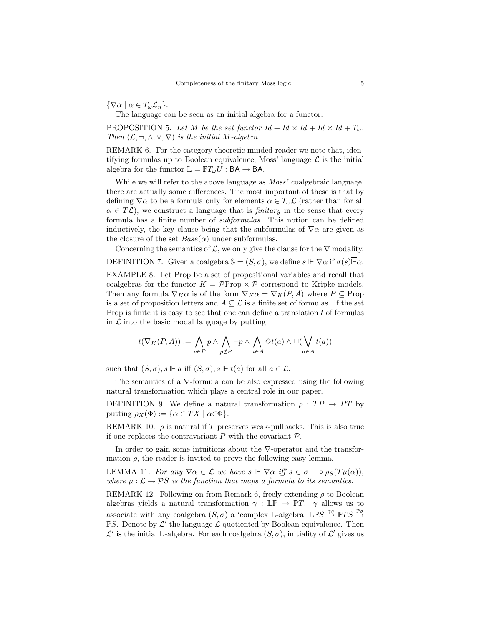$\{\nabla \alpha \mid \alpha \in T_{\omega} \mathcal{L}_n\}.$ 

The language can be seen as an initial algebra for a functor.

PROPOSITION 5. Let M be the set functor  $Id + Id \times Id + Id \times Id + T_{\omega}$ . Then  $(\mathcal{L}, \neg, \wedge, \vee, \nabla)$  is the initial M-algebra.

REMARK 6. For the category theoretic minded reader we note that, identifying formulas up to Boolean equivalence, Moss' language  $\mathcal L$  is the initial algebra for the functor  $\mathbb{L} = \mathbb{F}T_{\omega}U : BA \to BA$ .

While we will refer to the above language as  $Moss'$  coalgebraic language, there are actually some differences. The most important of these is that by defining  $\nabla \alpha$  to be a formula only for elements  $\alpha \in T_{\omega} \mathcal{L}$  (rather than for all  $\alpha \in T\mathcal{L}$ , we construct a language that is *finitary* in the sense that every formula has a finite number of subformulas. This notion can be defined inductively, the key clause being that the subformulas of  $\nabla \alpha$  are given as the closure of the set  $Base(\alpha)$  under subformulas.

Concerning the semantics of  $\mathcal{L}$ , we only give the clause for the  $\nabla$  modality.

DEFINITION 7. Given a coalgebra  $\mathbb{S} = (S, \sigma)$ , we define  $s \Vdash \nabla \alpha$  if  $\sigma(s) \Vdash \alpha$ .

EXAMPLE 8. Let Prop be a set of propositional variables and recall that coalgebras for the functor  $K = \mathcal{P}$ Prop  $\times \mathcal{P}$  correspond to Kripke models. Then any formula  $\nabla_K \alpha$  is of the form  $\nabla_K \alpha = \nabla_K(P, A)$  where  $P \subseteq \text{Prop}$ is a set of proposition letters and  $A \subseteq \mathcal{L}$  is a finite set of formulas. If the set Prop is finite it is easy to see that one can define a translation  $t$  of formulas in  $\mathcal L$  into the basic modal language by putting

$$
t(\nabla_K(P,A)) := \bigwedge_{p \in P} p \land \bigwedge_{p \notin P} \neg p \land \bigwedge_{a \in A} \Diamond t(a) \land \Box(\bigvee_{a \in A} t(a))
$$

such that  $(S, \sigma), s \Vdash a$  iff  $(S, \sigma), s \Vdash t(a)$  for all  $a \in \mathcal{L}$ .

The semantics of a ∇-formula can be also expressed using the following natural transformation which plays a central role in our paper.

DEFINITION 9. We define a natural transformation  $\rho:TP \rightarrow PT$  by putting  $\rho_X(\Phi) := {\alpha \in TX \mid \alpha \in \Phi}.$ 

REMARK 10.  $\rho$  is natural if T preserves weak-pullbacks. This is also true if one replaces the contravariant  $P$  with the covariant  $\mathcal{P}$ .

In order to gain some intuitions about the ∇-operator and the transformation  $\rho$ , the reader is invited to prove the following easy lemma.

LEMMA 11. For any  $\nabla \alpha \in \mathcal{L}$  we have  $s \Vdash \nabla \alpha$  iff  $s \in \sigma^{-1} \circ \rho_S(T\mu(\alpha)),$ where  $\mu : \mathcal{L} \to \mathcal{P}S$  is the function that maps a formula to its semantics.

REMARK 12. Following on from Remark 6, freely extending  $\rho$  to Boolean algebras yields a natural transformation  $\gamma : \mathbb{LP} \to \mathbb{PT}$ .  $\gamma$  allows us to associate with any coalgebra  $(S, \sigma)$  a 'complex L-algebra' LPS  $\stackrel{\gamma_S}{\rightarrow}$  PTS  $\stackrel{\mathbb{P}\sigma}{\rightarrow}$  $\n **PS.** Denote by  $\mathcal{L}'$  the language  $\mathcal{L}$  quotiented by Boolean equivalence. Then$ L' is the initial L-algebra. For each coalgebra  $(S, \sigma)$ , initiality of L' gives us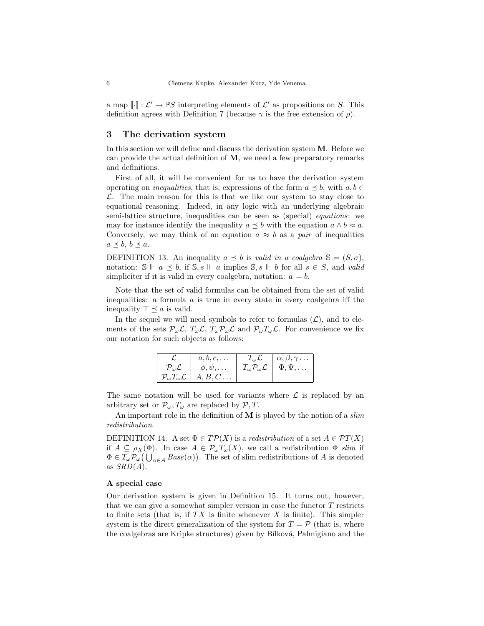a map  $\llbracket \cdot \rrbracket : \mathcal{L}' \to \mathbb{P}S$  interpreting elements of  $\mathcal{L}'$  as propositions on S. This definition agrees with Definition 7 (because  $\gamma$  is the free extension of  $\rho$ ).

# 3 The derivation system

In this section we will define and discuss the derivation system M. Before we can provide the actual definition of  $M$ , we need a few preparatory remarks and definitions.

First of all, it will be convenient for us to have the derivation system operating on *inequalities*, that is, expressions of the form  $a \preceq b$ , with  $a, b \in$  $\mathcal{L}$ . The main reason for this is that we like our system to stay close to equational reasoning. Indeed, in any logic with an underlying algebraic semi-lattice structure, inequalities can be seen as (special) equations: we may for instance identify the inequality  $a \preceq b$  with the equation  $a \wedge b \approx a$ . Conversely, we may think of an equation  $a \approx b$  as a pair of inequalities  $a \preceq b, b \preceq a.$ 

DEFINITION 13. An inequality  $a \preceq b$  is valid in a coalgebra  $\mathbb{S} = (S, \sigma)$ , notation:  $\mathbb{S} \Vdash a \preceq b$ , if  $\mathbb{S}, s \Vdash a$  implies  $\mathbb{S}, s \Vdash b$  for all  $s \in S$ , and valid simpliciter if it is valid in every coalgebra, notation:  $a \models b$ .

Note that the set of valid formulas can be obtained from the set of valid inequalities: a formula  $a$  is true in every state in every coalgebra iff the inequality  $\top \preceq a$  is valid.

In the sequel we will need symbols to refer to formulas  $(\mathcal{L})$ , and to elements of the sets  $\mathcal{P}_{\omega}\mathcal{L}, T_{\omega}\mathcal{L}, T_{\omega}\mathcal{P}_{\omega}\mathcal{L}$  and  $\mathcal{P}_{\omega}T_{\omega}\mathcal{L}$ . For convenience we fix our notation for such objects as follows:

|                            | $a, b, c, \ldots$                                              | $T_{\omega} \mathcal{L}$                    | $\alpha, \beta, \gamma \dots$ |
|----------------------------|----------------------------------------------------------------|---------------------------------------------|-------------------------------|
| $\mathcal{P}_o\mathcal{L}$ | $\phi, \psi, \ldots$                                           | $T_{\omega}\mathcal{P}_{\omega}\mathcal{L}$ | $\Phi, \Psi, \ldots$          |
|                            | $\mathcal{P}_{\omega}T_{\omega}\mathcal{L} \mid A, B, C \dots$ |                                             |                               |

The same notation will be used for variants where  $\mathcal L$  is replaced by an arbitrary set or  $\mathcal{P}_{\omega}, T_{\omega}$  are replaced by  $\mathcal{P}, T$ .

An important role in the definition of  $M$  is played by the notion of a *slim* redistribution.

DEFINITION 14. A set  $\Phi \in T\mathcal{P}(X)$  is a redistribution of a set  $A \in \mathcal{P}T(X)$ if  $A \subseteq \rho_X(\Phi)$ . In case  $A \in \mathcal{P}_{\omega}T_{\omega}(X)$ , we call a redistribution  $\Phi$  slim if  $\Phi \in T_{\omega} \mathcal{P}_{\omega}(\bigcup_{\alpha \in A} Base(\alpha)).$  The set of slim redistributions of A is denoted as  $SRD(A)$ .

#### A special case

Our derivation system is given in Definition 15. It turns out, however, that we can give a somewhat simpler version in case the functor  $T$  restricts to finite sets (that is, if  $TX$  is finite whenever X is finite). This simpler system is the direct generalization of the system for  $T = \mathcal{P}$  (that is, where the coalgebras are Kripke structures) given by Bílková, Palmigiano and the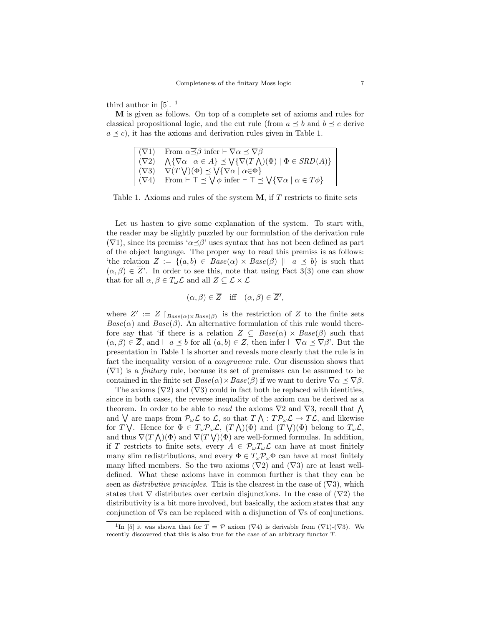third author in [5]. <sup>1</sup>

M is given as follows. On top of a complete set of axioms and rules for classical propositional logic, and the cut rule (from  $a \preceq b$  and  $b \preceq c$  derive  $a \prec c$ , it has the axioms and derivation rules given in Table 1.

|              | $(\nabla 1)$ From $\alpha \leq \beta$ infer $\vdash \nabla \alpha \preceq \nabla \beta$                                        |
|--------------|--------------------------------------------------------------------------------------------------------------------------------|
|              | $(\nabla 2) \quad \Lambda {\nabla \alpha \mid \alpha \in A} \preceq \text{V} {\nabla (T \wedge)(\Phi) \mid \Phi \in SRD(A)}$   |
| $(\nabla 3)$ | $\nabla(T\bigvee)(\Phi) \preceq \bigvee \{\nabla \alpha \mid \alpha \in \Phi\}$                                                |
|              | $(\nabla 4)$ From $\vdash \top \preceq \bigvee \phi$ infer $\vdash \top \preceq \bigvee {\nabla \alpha \mid \alpha \in T\phi}$ |

Table 1. Axioms and rules of the system  $M$ , if T restricts to finite sets

Let us hasten to give some explanation of the system. To start with, the reader may be slightly puzzled by our formulation of the derivation rule  $(\nabla1)$ , since its premiss ' $\alpha \leq \beta$ ' uses syntax that has not been defined as part of the object language. The proper way to read this premiss is as follows: 'the relation  $Z := \{(a, b) \in \text{Base}(\alpha) \times \text{Base}(\beta) \mid a \preceq b\}$  is such that  $(\alpha, \beta) \in \overline{Z}$ . In order to see this, note that using Fact 3(3) one can show that for all  $\alpha,\beta\in T_\omega\mathcal{L}$  and all  $Z\subseteq \mathcal{L}\times\mathcal{L}$ 

$$
(\alpha, \beta) \in \overline{Z}
$$
 iff  $(\alpha, \beta) \in \overline{Z'}$ ,

where  $Z' := Z \upharpoonright_{Base(\alpha) \times Base(\beta)}$  is the restriction of Z to the finite sets  $Base(\alpha)$  and  $Base(\beta)$ . An alternative formulation of this rule would therefore say that 'if there is a relation  $Z \subseteq Base(\alpha) \times Base(\beta)$  such that  $(\alpha, \beta) \in \overline{Z}$ , and  $\vdash a \preceq b$  for all  $(a, b) \in Z$ , then infer  $\vdash \nabla \alpha \preceq \nabla \beta'$ . But the presentation in Table 1 is shorter and reveals more clearly that the rule is in fact the inequality version of a congruence rule. Our discussion shows that  $(\nabla 1)$  is a *finitary* rule, because its set of premisses can be assumed to be contained in the finite set  $Base(\alpha) \times Base(\beta)$  if we want to derive  $\nabla \alpha \preceq \nabla \beta$ .

The axioms  $(\nabla 2)$  and  $(\nabla 3)$  could in fact both be replaced with identities, since in both cases, the reverse inequality of the axiom can be derived as a theorem. In order to be able to read the axioms  $\nabla 2$  and  $\nabla 3$ , recall that  $\bigwedge$ and  $\bigvee$  are maps from  $\mathcal{P}_{\omega}\mathcal{L}$  to  $\mathcal{L}$ , so that  $T \bigwedge : T\mathcal{P}_{\omega}\mathcal{L} \to T\mathcal{L}$ , and likewise for T  $\bigvee$ . Hence for  $\Phi \in T_{\omega} \mathcal{P}_{\omega} \mathcal{L}$ ,  $(T \bigwedge)(\Phi)$  and  $(T \bigvee)(\Phi)$  belong to  $T_{\omega} \mathcal{L}$ , and thus  $\nabla(T\bigwedge)(\Phi)$  and  $\nabla(T\bigvee)(\Phi)$  are well-formed formulas. In addition, if T restricts to finite sets, every  $A \in \mathcal{P}_{\omega}T_{\omega}\mathcal{L}$  can have at most finitely many slim redistributions, and every  $\Phi \in T_{\omega} \mathcal{P}_{\omega} \Phi$  can have at most finitely many lifted members. So the two axioms  $(\nabla 2)$  and  $(\nabla 3)$  are at least welldefined. What these axioms have in common further is that they can be seen as *distributive principles*. This is the clearest in the case of  $(\nabla 3)$ , which states that  $\nabla$  distributes over certain disjunctions. In the case of  $(\nabla 2)$  the distributivity is a bit more involved, but basically, the axiom states that any conjunction of  $\nabla$ s can be replaced with a disjunction of  $\nabla$ s of conjunctions.

<sup>&</sup>lt;sup>1</sup>In [5] it was shown that for  $T = \mathcal{P}$  axiom ( $\nabla$ 4) is derivable from ( $\nabla$ 1)-( $\nabla$ 3). We recently discovered that this is also true for the case of an arbitrary functor T.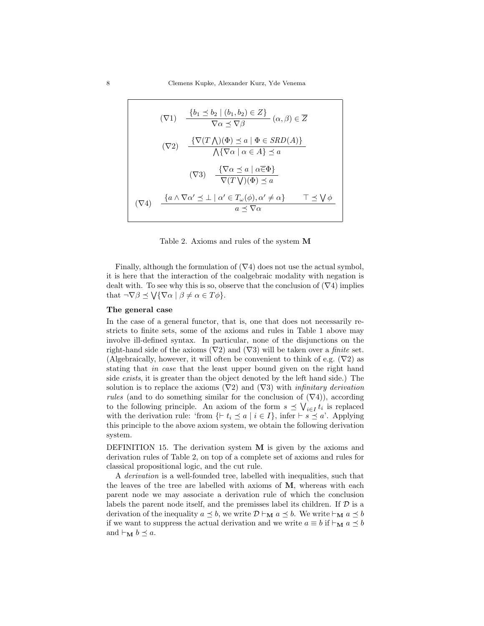$$
(\nabla 1) \quad \frac{\{b_1 \le b_2 \mid (b_1, b_2) \in Z\}}{\nabla \alpha \le \nabla \beta} \quad (\alpha, \beta) \in \overline{Z}
$$
\n
$$
(\nabla 2) \quad \frac{\{\nabla (T \wedge)(\Phi) \le a \mid \Phi \in SRD(A)\}}{\nabla \{\nabla \alpha \mid \alpha \in A\} \le a}
$$
\n
$$
(\nabla 3) \quad \frac{\{\nabla \alpha \le a \mid \alpha \overline{\in} \Phi\}}{\nabla (T \vee)(\Phi) \le a}
$$
\n
$$
(\nabla 4) \quad \frac{\{a \wedge \nabla \alpha' \le \perp \mid \alpha' \in T_{\omega}(\phi), \alpha' \ne \alpha\}}{a \le \nabla \alpha} \quad \top \le \bigvee \phi
$$

Table 2. Axioms and rules of the system M

Finally, although the formulation of  $(\nabla 4)$  does not use the actual symbol, it is here that the interaction of the coalgebraic modality with negation is dealt with. To see why this is so, observe that the conclusion of  $(\nabla 4)$  implies that  $\neg\nabla\beta \preceq \bigvee {\nabla\alpha \mid \beta \neq \alpha \in T\phi}$ .

#### The general case

In the case of a general functor, that is, one that does not necessarily restricts to finite sets, some of the axioms and rules in Table 1 above may involve ill-defined syntax. In particular, none of the disjunctions on the right-hand side of the axioms  $(\nabla 2)$  and  $(\nabla 3)$  will be taken over a *finite* set. (Algebraically, however, it will often be convenient to think of e.g.  $(\nabla 2)$  as stating that in case that the least upper bound given on the right hand side exists, it is greater than the object denoted by the left hand side.) The solution is to replace the axioms  $(\nabla 2)$  and  $(\nabla 3)$  with *infinitary derivation rules* (and to do something similar for the conclusion of  $(\nabla 4)$ ), according to the following principle. An axiom of the form  $s \preceq \bigvee_{i \in I} t_i$  is replaced with the derivation rule: 'from  $\{\vdash t_i \preceq a \mid i \in I\}$ , infer  $\vdash s \preceq a'$ . Applying this principle to the above axiom system, we obtain the following derivation system.

DEFINITION 15. The derivation system M is given by the axioms and derivation rules of Table 2, on top of a complete set of axioms and rules for classical propositional logic, and the cut rule.

A derivation is a well-founded tree, labelled with inequalities, such that the leaves of the tree are labelled with axioms of M, whereas with each parent node we may associate a derivation rule of which the conclusion labels the parent node itself, and the premisses label its children. If  $D$  is a derivation of the inequality  $a \preceq b$ , we write  $D \vdash_M a \preceq b$ . We write  $\vdash_M a \preceq b$ if we want to suppress the actual derivation and we write  $a \equiv b$  if  $\vdash_{\mathbf{M}} a \preceq b$ and  $\vdash_{\mathbf{M}} b \preceq a$ .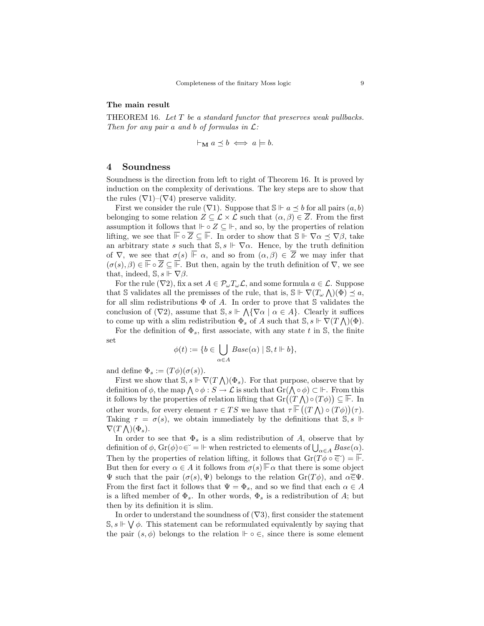## The main result

THEOREM 16. Let  $T$  be a standard functor that preserves weak pullbacks. Then for any pair a and b of formulas in  $\mathcal{L}$ :

$$
\vdash_{\mathbf{M}} a \preceq b \iff a \models b.
$$

## 4 Soundness

Soundness is the direction from left to right of Theorem 16. It is proved by induction on the complexity of derivations. The key steps are to show that the rules  $(\nabla 1)$ – $(\nabla 4)$  preserve validity.

First we consider the rule ( $\nabla$ 1). Suppose that  $\mathbb{S} \Vdash a \preceq b$  for all pairs  $(a, b)$ belonging to some relation  $Z \subseteq \mathcal{L} \times \mathcal{L}$  such that  $(\alpha, \beta) \in \overline{Z}$ . From the first assumption it follows that  $\Vdash \circ Z \subseteq \Vdash$ , and so, by the properties of relation lifting, we see that  $\overline{\mathbb{F}} \circ \overline{Z} \subseteq \overline{\mathbb{F}}$ . In order to show that  $\mathbb{S} \Vdash \nabla \alpha \preceq \nabla \beta$ , take an arbitrary state s such that  $\mathbb{S}, s \Vdash \nabla \alpha$ . Hence, by the truth definition of  $\nabla$ , we see that  $\sigma(s) \vDash \alpha$ , and so from  $(\alpha, \beta) \in \overline{Z}$  we may infer that  $(\sigma(s), \beta) \in \mathbb{F} \circ \overline{Z} \subseteq \mathbb{F}$ . But then, again by the truth definition of  $\nabla$ , we see that, indeed,  $\mathbb{S}, s \Vdash \nabla \beta$ .

For the rule ( $\nabla 2$ ), fix a set  $A \in \mathcal{P}_{\omega}T_{\omega}\mathcal{L}$ , and some formula  $a \in \mathcal{L}$ . Suppose that S validates all the premisses of the rule, that is,  $\mathbb{S} \Vdash \nabla (T_\omega \wedge)(\Phi) \preceq a$ , for all slim redistributions  $\Phi$  of A. In order to prove that S validates the conclusion of  $(\nabla 2)$ , assume that  $\mathbb{S}, s \Vdash \bigwedge \{ \nabla \alpha \mid \alpha \in A \}$ . Clearly it suffices to come up with a slim redistribution  $\overline{\Phi_s}$  of A such that  $\mathbb{S}, s \Vdash \overline{\nabla}(T \bigwedge)(\Phi)$ .

For the definition of  $\Phi_s$ , first associate, with any state t in S, the finite set

$$
\phi(t) := \{b \in \bigcup_{\alpha \in A} Base(\alpha) \mid \mathbb{S}, t \Vdash b\},\
$$

and define  $\Phi_s := (T\phi)(\sigma(s))$ .

First we show that  $\mathbb{S}, s \Vdash \nabla (T \wedge)(\Phi_s)$ . For that purpose, observe that by definition of  $\phi$ , the map  $\bigwedge \circ \phi : S \to \mathcal{L}$  is such that  $\text{Gr}(\bigwedge \circ \phi) \subset \mathbb{H}$ . From this it follows by the properties of relation lifting that  $\mathrm{Gr}((T\bigwedge) \circ (T\phi)) \subseteq \overline{\mathbb{F}}$ . In other words, for every element  $\tau \in TS$  we have that  $\tau \mathbb{F}((T \bigwedge) \circ (T \phi))(\tau)$ . Taking  $\tau = \sigma(s)$ , we obtain immediately by the definitions that S, s  $\Vdash$  $\nabla(T\bigwedge)(\Phi_s).$ 

In order to see that  $\Phi_s$  is a slim redistribution of A, observe that by definition of  $\phi$ ,  $Gr(\phi) \circ \epsilon^* = \mathbb{H}$  when restricted to elements of  $\bigcup_{\alpha \in A} Base(\alpha)$ . Then by the properties of relation lifting, it follows that  $\mathrm{Gr}(T\phi \circ \overline{\in}) = \overline{\mathbb{F}}$ . But then for every  $\alpha \in A$  it follows from  $\sigma(s) \mathbb{F}_\alpha$  that there is some object  $\Psi$  such that the pair  $(σ(s), Ψ)$  belongs to the relation  $Gr(Tφ)$ , and  $α\overline{\in}Ψ$ . From the first fact it follows that  $\Psi = \Phi_s$ , and so we find that each  $\alpha \in A$ is a lifted member of  $\Phi_s$ . In other words,  $\Phi_s$  is a redistribution of A; but then by its definition it is slim.

In order to understand the soundness of  $(\nabla 3)$ , first consider the statement  $\mathbb{S}, s \Vdash \bigvee \phi$ . This statement can be reformulated equivalently by saying that the pair  $(s, \phi)$  belongs to the relation  $\Vdash \circ \in$ , since there is some element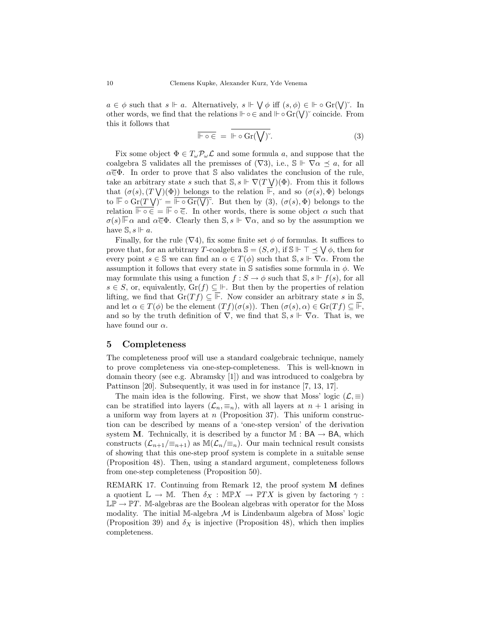$a \in \phi$  such that  $s \Vdash a$ . Alternatively,  $s \Vdash \bigvee \phi$  iff  $(s, \phi) \in \Vdash \circ \text{Gr}(\bigvee)^{\sim}$ . In other words, we find that the relations  $\mathbb{H} \circ \in$  and  $\mathbb{H} \circ \text{Gr}(\bigvee)$  coincide. From this it follows that

$$
\overline{\mathbb{H}\circ\in} = \mathbb{H}\circ\operatorname{Gr}(\bigvee)^{\check{}}.
$$
 (3)

Fix some object  $\Phi \in T_{\omega} \mathcal{P}_{\omega} \mathcal{L}$  and some formula a, and suppose that the coalgebra S validates all the premisses of  $(\nabla 3)$ , i.e.,  $\mathbb{S} \Vdash \nabla \alpha \preceq a$ , for all  $\alpha \in \Phi$ . In order to prove that S also validates the conclusion of the rule, take an arbitrary state s such that  $\mathbb{S}, s \Vdash \nabla(T \bigvee)(\Phi)$ . From this it follows that  $(\sigma(s), (T\bigvee)(\Phi))$  belongs to the relation  $\overline{\mathbb{F}}$ , and so  $(\sigma(s), \Phi)$  belongs to  $\overline{\mathbb{F}} \circ \operatorname{Gr}(T \setminus Y)^{\sim} = \overline{\mathbb{F} \circ \operatorname{Gr}(\bigvee)^{\sim}}$ . But then by (3),  $(\sigma(s), \Phi)$  belongs to the relation  $\overline{\mathbb{F} \circ \in} = \overline{\mathbb{F}} \circ \overline{\in}$ . In other words, there is some object  $\alpha$  such that  $\sigma(s) \overline{\mathbb{F}}$  a and  $\alpha \overline{\in} \Phi$ . Clearly then  $\mathbb{S}, s \Vdash \nabla \alpha$ , and so by the assumption we have  $\mathbb{S}, s \Vdash a$ .

Finally, for the rule  $(\nabla 4)$ , fix some finite set  $\phi$  of formulas. It suffices to prove that, for an arbitrary T-coalgebra  $\mathbb{S} = (S, \sigma)$ , if  $\mathbb{S} \Vdash \top \preceq \bigvee \phi$ , then for every point  $s \in \mathbb{S}$  we can find an  $\alpha \in T(\phi)$  such that  $\mathbb{S}, s \Vdash \nabla \alpha$ . From the assumption it follows that every state in  $\mathbb S$  satisfies some formula in  $\phi$ . We may formulate this using a function  $f : S \to \phi$  such that  $\mathbb{S}, s \Vdash f(s)$ , for all  $s \in S$ , or, equivalently,  $\text{Gr}(f) \subseteq \mathbb{H}$ . But then by the properties of relation lifting, we find that  $\text{Gr}(Tf) \subseteq \overline{\mathbb{F}}$ . Now consider an arbitrary state s in S, and let  $\alpha \in T(\phi)$  be the element  $(Tf)(\sigma(s))$ . Then  $(\sigma(s), \alpha) \in \mathrm{Gr}(Tf) \subset \overline{\mathbb{F}},$ and so by the truth definition of  $\nabla$ , we find that  $\mathbb{S}, s \Vdash \nabla \alpha$ . That is, we have found our  $\alpha$ .

## 5 Completeness

The completeness proof will use a standard coalgebraic technique, namely to prove completeness via one-step-completeness. This is well-known in domain theory (see e.g. Abramsky [1]) and was introduced to coalgebra by Pattinson [20]. Subsequently, it was used in for instance [7, 13, 17].

The main idea is the following. First, we show that Moss' logic  $(\mathcal{L}, \equiv)$ can be stratified into layers  $(\mathcal{L}_n, \equiv_n)$ , with all layers at  $n + 1$  arising in a uniform way from layers at  $n$  (Proposition 37). This uniform construction can be described by means of a 'one-step version' of the derivation system **M**. Technically, it is described by a functor  $M : BA \rightarrow BA$ , which constructs  $(\mathcal{L}_{n+1}/\equiv_{n+1})$  as  $\mathbb{M}(\mathcal{L}_n/\equiv_n)$ . Our main technical result consists of showing that this one-step proof system is complete in a suitable sense (Proposition 48). Then, using a standard argument, completeness follows from one-step completeness (Proposition 50).

REMARK 17. Continuing from Remark 12, the proof system M defines a quotient  $\mathbb{L} \to \mathbb{M}$ . Then  $\delta_X : \mathbb{MP}X \to \mathbb{P}TX$  is given by factoring  $\gamma$ :  $\mathbb{LP} \to \mathbb{PT}$ . M-algebras are the Boolean algebras with operator for the Moss modality. The initial M-algebra  $\mathcal M$  is Lindenbaum algebra of Moss' logic (Proposition 39) and  $\delta_X$  is injective (Proposition 48), which then implies completeness.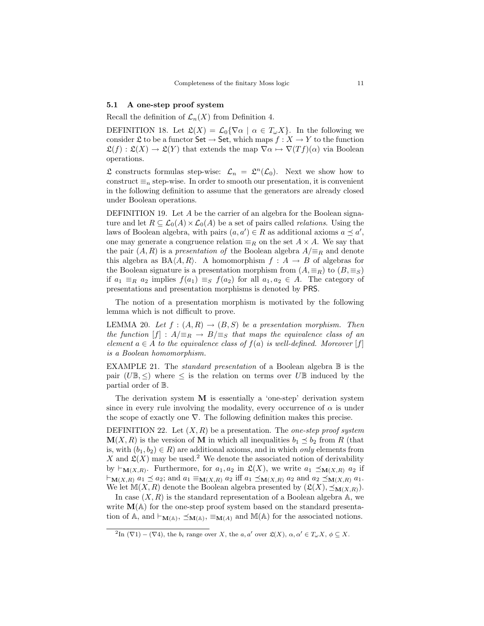## 5.1 A one-step proof system

Recall the definition of  $\mathcal{L}_n(X)$  from Definition 4.

DEFINITION 18. Let  $\mathfrak{L}(X) = \mathcal{L}_0{\nabla \alpha \mid \alpha \in T_\omega X}$ . In the following we consider  $\mathfrak L$  to be a functor Set  $\to$  Set, which maps  $f : X \to Y$  to the function  $\mathfrak{L}(f) : \mathfrak{L}(X) \to \mathfrak{L}(Y)$  that extends the map  $\nabla \alpha \mapsto \nabla (Tf)(\alpha)$  via Boolean operations.

 $\mathfrak L$  constructs formulas step-wise:  $\mathcal L_n = \mathfrak L^n(\mathcal L_0)$ . Next we show how to construct  $\equiv_n$  step-wise. In order to smooth our presentation, it is convenient in the following definition to assume that the generators are already closed under Boolean operations.

DEFINITION 19. Let A be the carrier of an algebra for the Boolean signature and let  $R \subseteq \mathcal{L}_0(A) \times \mathcal{L}_0(A)$  be a set of pairs called *relations*. Using the laws of Boolean algebra, with pairs  $(a, a') \in R$  as additional axioms  $a \preceq a'$ , one may generate a congruence relation  $\equiv_R$  on the set  $A \times A$ . We say that the pair  $(A, R)$  is a presentation of the Boolean algebra  $A/\equiv_R$  and denote this algebra as  $BA\langle A, R \rangle$ . A homomorphism  $f : A \rightarrow B$  of algebras for the Boolean signature is a presentation morphism from  $(A, \equiv_R)$  to  $(B, \equiv_S)$ if  $a_1 \equiv_R a_2$  implies  $f(a_1) \equiv_S f(a_2)$  for all  $a_1, a_2 \in A$ . The category of presentations and presentation morphisms is denoted by PRS.

The notion of a presentation morphism is motivated by the following lemma which is not difficult to prove.

LEMMA 20. Let  $f:(A,R) \rightarrow (B,S)$  be a presentation morphism. Then the function  $[f] : A/\equiv_R \rightarrow B/\equiv_S$  that maps the equivalence class of an element  $a \in A$  to the equivalence class of  $f(a)$  is well-defined. Moreover [f] is a Boolean homomorphism.

EXAMPLE 21. The *standard presentation* of a Boolean algebra  $\mathbb B$  is the pair (UB,  $\leq$ ) where  $\leq$  is the relation on terms over UB induced by the partial order of B.

The derivation system M is essentially a 'one-step' derivation system since in every rule involving the modality, every occurrence of  $\alpha$  is under the scope of exactly one  $\nabla$ . The following definition makes this precise.

DEFINITION 22. Let  $(X, R)$  be a presentation. The *one-step proof system*  $\mathbf{M}(X,\mathbb{R})$  is the version of M in which all inequalities  $b_1 \preceq b_2$  from R (that is, with  $(b_1, b_2) \in R$  are additional axioms, and in which only elements from X and  $\mathfrak{L}(X)$  may be used.<sup>2</sup> We denote the associated notion of derivability by  $\vdash_{\mathbf{M}(X,R)}$ . Furthermore, for  $a_1, a_2$  in  $\mathfrak{L}(X)$ , we write  $a_1 \preceq_{\mathbf{M}(X,R)} a_2$  if  $\vdash_{\mathbf{M}(X,R)} a_1 \preceq a_2$ ; and  $a_1 \equiv_{\mathbf{M}(X,R)} a_2$  iff  $a_1 \preceq_{\mathbf{M}(X,R)} a_2$  and  $a_2 \preceq_{\mathbf{M}(X,R)} a_1$ . We let  $M(X, R)$  denote the Boolean algebra presented by  $(\mathfrak{L}(X), \preceq_{\mathbf{M}(X,R)})$ .

In case  $(X, R)$  is the standard representation of a Boolean algebra  $A$ , we write  $\mathbf{M}(\mathbb{A})$  for the one-step proof system based on the standard presentation of  $\mathbb{A}$ , and  $\vdash_{\mathbf{M}(\mathbb{A})}$ ,  $\preceq_{\mathbf{M}(\mathbb{A})}$ ,  $\equiv_{\mathbf{M}(A)}$  and  $\mathbb{M}(\mathbb{A})$  for the associated notions.

<sup>&</sup>lt;sup>2</sup>In ( $\nabla$ 1) – ( $\nabla$ 4), the  $b_i$  range over X, the a, a' over  $\mathfrak{L}(X)$ ,  $\alpha, \alpha' \in T_\omega X$ ,  $\phi \subseteq X$ .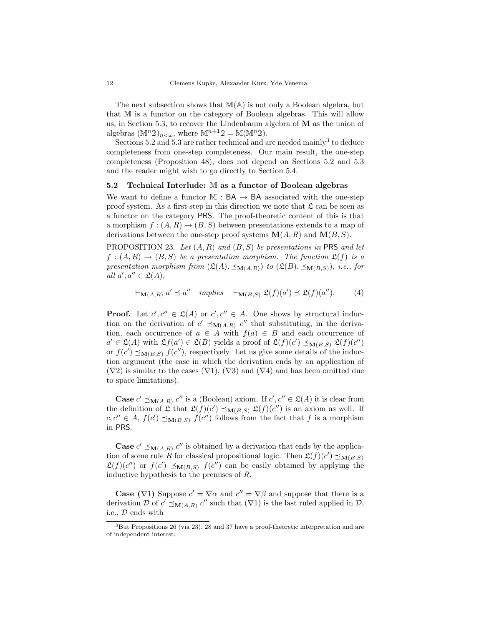The next subsection shows that  $M(A)$  is not only a Boolean algebra, but that M is a functor on the category of Boolean algebras. This will allow us, in Section 5.3, to recover the Lindenbaum algebra of M as the union of algebras  $(\mathbb{M}^n 2)_{n<\omega}$ , where  $\mathbb{M}^{n+1} 2 = \mathbb{M}(\mathbb{M}^n 2)$ .

Sections 5.2 and 5.3 are rather technical and are needed mainly<sup>3</sup> to deduce completeness from one-step completeness. Our main result, the one-step completeness (Proposition 48), does not depend on Sections 5.2 and 5.3 and the reader might wish to go directly to Section 5.4.

#### 5.2 Technical Interlude: M as a functor of Boolean algebras

We want to define a functor  $\mathbb{M}$  :  $BA \rightarrow BA$  associated with the one-step proof system. As a first step in this direction we note that  $\mathfrak{L}$  can be seen as a functor on the category PRS. The proof-theoretic content of this is that a morphism  $f:(A, R) \rightarrow (B, S)$  between presentations extends to a map of derivations between the one-step proof systems  $\mathbf{M}(A, R)$  and  $\mathbf{M}(B, S)$ .

PROPOSITION 23. Let  $(A, R)$  and  $(B, S)$  be presentations in PRS and let  $f:(A, R) \to (B, S)$  be a presentation morphism. The function  $\mathfrak{L}(f)$  is a presentation morphism from  $(\mathfrak{L}(A), \preceq_{\mathbf{M}(A,R)})$  to  $(\mathfrak{L}(B), \preceq_{\mathbf{M}(B,S)})$ , i.e., for all  $a', a'' \in \mathfrak{L}(A)$ ,

$$
\vdash_{\mathbf{M}(A,R)} a' \preceq a'' \quad implies \quad \vdash_{\mathbf{M}(B,S)} \mathfrak{L}(f)(a') \preceq \mathfrak{L}(f)(a''). \tag{4}
$$

**Proof.** Let  $c', c'' \in \mathfrak{L}(A)$  or  $c', c'' \in A$ . One shows by structural induction on the derivation of  $c' \preceq_{\mathbf{M}(A,R)} c''$  that substituting, in the derivation, each occurrence of  $a \in A$  with  $f(a) \in B$  and each occurrence of  $a' \in \mathfrak{L}(A)$  with  $\mathfrak{L}f(a') \in \mathfrak{L}(B)$  yields a proof of  $\mathfrak{L}(f)(c') \preceq_{\mathbf{M}(B,S)} \mathfrak{L}(f)(c'')$ or  $f(c') \preceq_{\mathbf{M}(B,S)} f(c'')$ , respectively. Let us give some details of the induction argument (the case in which the derivation ends by an application of  $(\nabla 2)$  is similar to the cases  $(\nabla 1), (\nabla 3)$  and  $(\nabla 4)$  and has been omitted due to space limitations).

**Case**  $c' \preceq_{\mathbf{M}(A,R)} c''$  is a (Boolean) axiom. If  $c', c'' \in \mathfrak{L}(A)$  it is clear from the definition of  $\mathfrak{L}$  that  $\mathfrak{L}(f)(c') \preceq_{\mathbf{M}(B,S)} \mathfrak{L}(f)(c'')$  is an axiom as well. If  $c, c'' \in A$ ,  $f(c') \preceq_{\mathbf{M}(B,S)} f(c'')$  follows from the fact that f is a morphism in PRS.

**Case**  $c' \preceq_{\mathbf{M}(A,R)} c''$  is obtained by a derivation that ends by the application of some rule R for classical propositional logic. Then  $\mathfrak{L}(f)(c') \preceq_{\mathbf{M}(B,S)}$  $\mathfrak{L}(f)(c'')$  or  $f(c') \preceq_{\mathbf{M}(B,S)} f(c'')$  can be easily obtained by applying the inductive hypothesis to the premises of R.

**Case** ( $\nabla$ 1) Suppose  $c' = \nabla \alpha$  and  $c'' = \nabla \beta$  and suppose that there is a derivation D of  $c' \preceq_{\mathbf{M}(A,R)} c''$  such that  $(\nabla 1)$  is the last ruled applied in D, i.e., D ends with

<sup>3</sup>But Propositions 26 (via 23), 28 and 37 have a proof-theoretic interpretation and are of independent interest.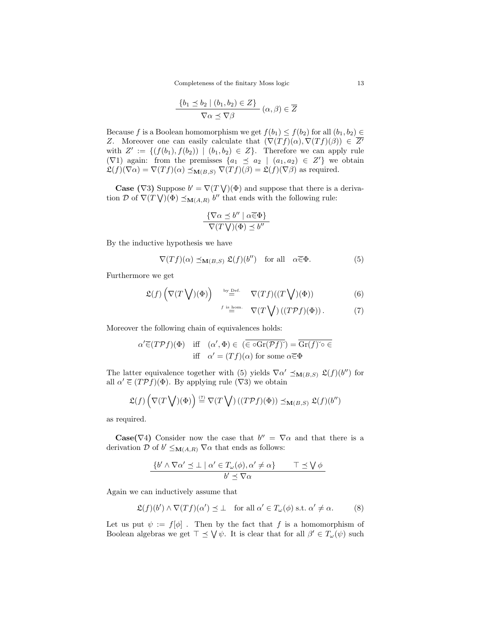Completeness of the finitary Moss logic 13

$$
\frac{\{b_1 \le b_2 \mid (b_1, b_2) \in Z\}}{\nabla \alpha \preceq \nabla \beta} (\alpha, \beta) \in \overline{Z}
$$

Because f is a Boolean homomorphism we get  $f(b_1) \le f(b_2)$  for all  $(b_1, b_2) \in$ Z. Moreover one can easily calculate that  $(\nabla (Tf)(\alpha), \nabla (Tf)(\beta)) \in \overline{Z}$ with  $Z' := \{ (f(b_1), f(b_2)) \mid (b_1, b_2) \in Z \}.$  Therefore we can apply rule  $(\nabla 1)$  again: from the premisses  $\{a_1 \le a_2 \mid (a_1, a_2) \in Z'\}$  we obtain  $\mathfrak{L}(f)(\nabla \alpha) = \nabla(Tf)(\alpha) \preceq_{\mathbf{M}(B,S)} \nabla(Tf)(\beta) = \mathfrak{L}(f)(\nabla \beta)$  as required.

**Case** ( $\nabla$ 3) Suppose  $b' = \nabla(T \vee)(\Phi)$  and suppose that there is a derivation D of  $\nabla(T\bigvee)(\Phi) \preceq_{\mathbf{M}(A,R)} b''$  that ends with the following rule:

$$
\frac{\{\nabla \alpha \preceq b'' \mid \alpha \overline{\in} \Phi\}}{\nabla (T \bigvee)(\Phi) \preceq b''}
$$

By the inductive hypothesis we have

$$
\nabla(Tf)(\alpha) \preceq_{\mathbf{M}(B,S)} \mathfrak{L}(f)(b'') \quad \text{for all} \quad \alpha \overline{\in} \Phi.
$$
 (5)

Furthermore we get

$$
\mathfrak{L}(f) \left( \nabla (T \bigvee)(\Phi) \right) \stackrel{\text{by Def.}}{=} \nabla (Tf) ((T \bigvee)(\Phi)) \tag{6}
$$

$$
\stackrel{f \text{ is hom.}}{=} \nabla(T \bigvee) \left( (T \mathcal{P} f)(\Phi) \right). \tag{7}
$$

Moreover the following chain of equivalences holds:

$$
\alpha' \overline{\in} (T \mathcal{P} f)(\Phi) \quad \text{iff} \quad (\alpha', \Phi) \in (\overline{\in} \circ \overline{\text{Gr}(\mathcal{P} f)^{\sim}}) = \overline{\text{Gr}(f)^{\circ} \circ \in}
$$
\n
$$
\text{iff} \quad \alpha' = (Tf)(\alpha) \text{ for some } \alpha \overline{\in} \Phi
$$

The latter equivalence together with (5) yields  $\nabla \alpha' \preceq_{\mathbf{M}(B,S)} \mathfrak{L}(f)(b'')$  for all  $\alpha' \in (T \mathcal{P} f)(\Phi)$ . By applying rule  $(\nabla 3)$  we obtain

$$
\mathfrak{L}(f)\left(\nabla(T\bigvee)(\Phi)\right) \stackrel{(7)}{=} \nabla(T\bigvee)\left((T\mathcal{P}f)(\Phi)\right) \preceq_{\mathbf{M}(B,S)} \mathfrak{L}(f)(b'')
$$

as required.

**Case**( $\nabla$ 4) Consider now the case that  $b'' = \nabla \alpha$  and that there is a derivation  $\mathcal D$  of  $b' \leq_{\mathbf M(A,R)} \nabla \alpha$  that ends as follows:

$$
\frac{\{b' \land \nabla \alpha' \preceq \bot \mid \alpha' \in T_{\omega}(\phi), \alpha' \neq \alpha\}}{b' \preceq \nabla \alpha} \qquad \top \preceq \bigvee \phi
$$

Again we can inductively assume that

$$
\mathfrak{L}(f)(b') \wedge \nabla(Tf)(\alpha') \preceq \bot \quad \text{for all } \alpha' \in T_{\omega}(\phi) \text{ s.t. } \alpha' \neq \alpha. \tag{8}
$$

Let us put  $\psi := f[\phi]$ . Then by the fact that f is a homomorphism of Boolean algebras we get  $\top \leq \bigvee \psi$ . It is clear that for all  $\beta' \in T_{\omega}(\psi)$  such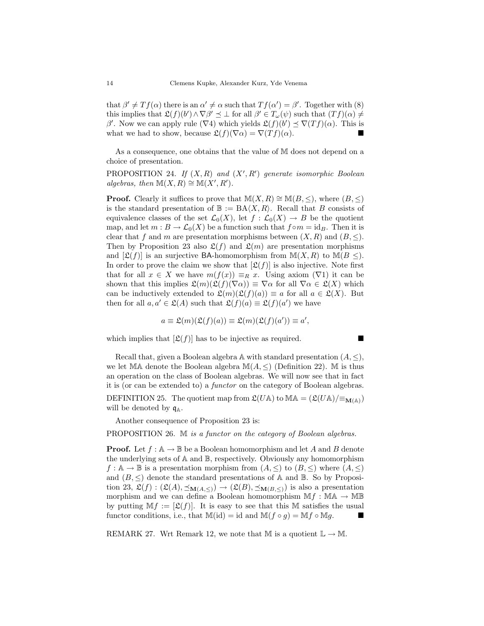that  $\beta' \neq Tf(\alpha)$  there is an  $\alpha' \neq \alpha$  such that  $Tf(\alpha') = \beta'$ . Together with (8) this implies that  $\mathfrak{L}(f)(b') \wedge \nabla \beta' \preceq \bot$  for all  $\beta' \in T_{\omega}(\psi)$  such that  $(Tf)(\alpha) \neq$ β'. Now we can apply rule ( $\nabla$ 4) which yields  $\mathfrak{L}(f)(b') \preceq \nabla(Tf)(\alpha)$ . This is what we had to show, because  $\mathfrak{L}(f)(\nabla \alpha) = \nabla(Tf)(\alpha)$ .

As a consequence, one obtains that the value of M does not depend on a choice of presentation.

PROPOSITION 24. If  $(X, R)$  and  $(X', R')$  generate isomorphic Boolean algebras, then  $M(X, R) \cong M(X', R')$ .

**Proof.** Clearly it suffices to prove that  $M(X, R) \cong M(B, \leq),$  where  $(B, \leq)$ is the standard presentation of  $\mathbb{B} := BA\langle X,R\rangle$ . Recall that B consists of equivalence classes of the set  $\mathcal{L}_0(X)$ , let  $f : \mathcal{L}_0(X) \to B$  be the quotient map, and let  $m : B \to \mathcal{L}_0(X)$  be a function such that  $f \circ m = id_B$ . Then it is clear that f and m are presentation morphisms between  $(X, R)$  and  $(B, \leq)$ . Then by Proposition 23 also  $\mathfrak{L}(f)$  and  $\mathfrak{L}(m)$  are presentation morphisms and  $[\mathfrak{L}(f)]$  is an surjective BA-homomorphism from  $\mathbb{M}(X,R)$  to  $\mathbb{M}(B \leq)$ . In order to prove the claim we show that  $[\mathfrak{L}(f)]$  is also injective. Note first that for all  $x \in X$  we have  $m(f(x)) \equiv_R x$ . Using axiom  $(\nabla 1)$  it can be shown that this implies  $\mathfrak{L}(m)(\mathfrak{L}(f)(\nabla\alpha)) \equiv \nabla\alpha$  for all  $\nabla\alpha \in \mathfrak{L}(X)$  which can be inductively extended to  $\mathfrak{L}(m)(\mathfrak{L}(f)(a)) \equiv a$  for all  $a \in \mathfrak{L}(X)$ . But then for all  $a, a' \in \mathfrak{L}(A)$  such that  $\mathfrak{L}(f)(a) \equiv \mathfrak{L}(f)(a')$  we have

$$
a \equiv \mathfrak{L}(m)(\mathfrak{L}(f)(a)) \equiv \mathfrak{L}(m)(\mathfrak{L}(f)(a')) \equiv a',
$$

which implies that  $[\mathfrak{L}(f)]$  has to be injective as required.

Recall that, given a Boolean algebra  $\mathbb A$  with standard presentation  $(A, \leq),$ we let MA denote the Boolean algebra  $M(A, \leq)$  (Definition 22). M is thus an operation on the class of Boolean algebras. We will now see that in fact it is (or can be extended to) a functor on the category of Boolean algebras. DEFINITION 25. The quotient map from  $\mathfrak{L}(U\mathbb{A})$  to  $\mathbb{M}\mathbb{A} = (\mathfrak{L}(U\mathbb{A})/\equiv_{\mathbf{M}(\mathbb{A})})$ will be denoted by  $q_A$ .

Another consequence of Proposition 23 is:

PROPOSITION 26. M is a functor on the category of Boolean algebras.

**Proof.** Let  $f : A \to \mathbb{B}$  be a Boolean homomorphism and let A and B denote the underlying sets of  $\mathbb A$  and  $\mathbb B$ , respectively. Obviously any homomorphism  $f: \mathbb{A} \to \mathbb{B}$  is a presentation morphism from  $(A, \leq)$  to  $(B, \leq)$  where  $(A, \leq)$ and  $(B, \leq)$  denote the standard presentations of A and B. So by Proposition 23,  $\mathfrak{L}(f) : (\mathfrak{L}(A), \preceq_{\mathbf{M}(A,\leq)}) \to (\mathfrak{L}(B), \preceq_{\mathbf{M}(B,\leq)})$  is also a presentation morphism and we can define a Boolean homomorphism  $\mathbb{M} f : \mathbb{M} \mathbb{A} \to \mathbb{M} \mathbb{B}$ by putting  $\mathbb{M} f := [\mathfrak{L}(f)]$ . It is easy to see that this M satisfies the usual functor conditions, i.e., that  $\mathbb{M}(\mathrm{id}) = \mathrm{id}$  and  $\mathbb{M}(f \circ g) = \mathbb{M}f \circ \mathbb{M}g$ .

REMARK 27. Wrt Remark 12, we note that M is a quotient  $\mathbb{L} \to \mathbb{M}$ .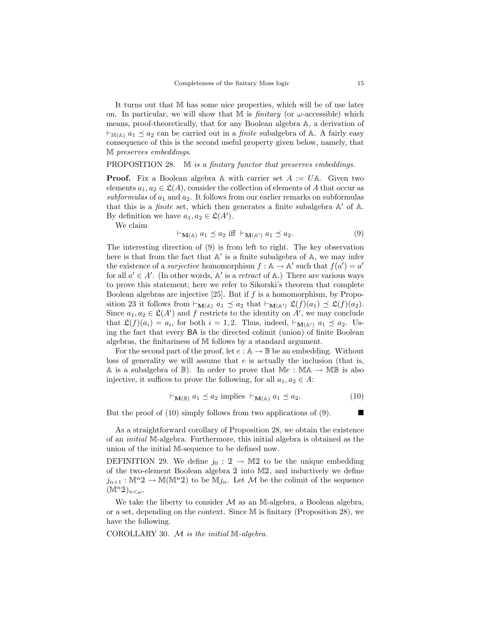It turns out that M has some nice properties, which will be of use later on. In particular, we will show that M is *finitary* (or  $\omega$ -accessible) which means, proof-theoretically, that for any Boolean algebra A, a derivation of  $\vdash_{\mathbb{M}(\mathbb{A})} a_1 \preceq a_2$  can be carried out in a *finite* subalgebra of A. A fairly easy consequence of this is the second useful property given below, namely, that M preserves embeddings.

#### PROPOSITION 28. M is a finitary functor that preserves embeddings.

**Proof.** Fix a Boolean algebra A with carrier set  $A := U \mathbb{A}$ . Given two elements  $a_1, a_2 \in \mathfrak{L}(A)$ , consider the collection of elements of A that occur as subformulas of  $a_1$  and  $a_2$ . It follows from our earlier remarks on subformulas that this is a *finite* set, which then generates a finite subalgebra  $A'$  of  $A$ . By definition we have  $a_1, a_2 \in \mathfrak{L}(A')$ .

We claim

$$
\vdash_{\mathbf{M}(\mathbb{A})} a_1 \preceq a_2 \text{ iff } \vdash_{\mathbf{M}(\mathbb{A}')} a_1 \preceq a_2. \tag{9}
$$

The interesting direction of (9) is from left to right. The key observation here is that from the fact that  $A'$  is a finite subalgebra of  $A$ , we may infer the existence of a *surjective* homomorphism  $f : A \to A'$  such that  $f(a') = a'$ for all  $a' \in A'$ . (In other words, A' is a *retract* of A.) There are various ways to prove this statement; here we refer to Sikorski's theorem that complete Boolean algebras are injective [25]. But if  $f$  is a homomorphism, by Proposition 23 it follows from  $\vdash_{\mathbf{M}(\mathbb{A})} a_1 \preceq a_2$  that  $\vdash_{\mathbf{M}(\mathbb{A}')} \mathfrak{L}(f)(a_1) \preceq \mathfrak{L}(f)(a_2)$ . Since  $a_1, a_2 \in \mathfrak{L}(A')$  and f restricts to the identity on  $A'$ , we may conclude that  $\mathfrak{L}(f)(a_i) = a_i$ , for both  $i = 1, 2$ . Thus, indeed,  $\vdash_{\mathbf{M}(\mathbb{A}')} a_1 \preceq a_2$ . Using the fact that every BA is the directed colimit (union) of finite Boolean algebras, the finitariness of M follows by a standard argument.

For the second part of the proof, let  $e : A \to \mathbb{B}$  be an embedding. Without loss of generality we will assume that  $e$  is actually the inclusion (that is, A is a subalgebra of  $\mathbb{B}$ ). In order to prove that  $\mathbb{M}e : \mathbb{M}\mathbb{A} \to \mathbb{M}\mathbb{B}$  is also injective, it suffices to prove the following, for all  $a_1, a_2 \in A$ :

$$
\vdash_{\mathbf{M}(\mathbb{B})} a_1 \preceq a_2 \text{ implies } \vdash_{\mathbf{M}(\mathbb{A})} a_1 \preceq a_2. \tag{10}
$$

But the proof of (10) simply follows from two applications of (9).

As a straightforward corollary of Proposition 28, we obtain the existence of an initial M-algebra. Furthermore, this initial algebra is obtained as the union of the initial M-sequence to be defined now.

DEFINITION 29. We define  $j_0 : 2 \rightarrow M2$  to be the unique embedding of the two-element Boolean algebra 2 into M2, and inductively we define  $j_{n+1}: \mathbb{M}^n \mathfrak{D} \to \mathbb{M}(\mathbb{M}^n \mathfrak{D})$  to be  $\mathbb{M} j_n$ . Let M be the colimit of the sequence  $(\mathbb{M}^n 2)_{n<\omega}.$ 

We take the liberty to consider  $\mathcal M$  as an M-algebra, a Boolean algebra, or a set, depending on the context. Since M is finitary (Proposition 28), we have the following.

COROLLARY 30. M is the initial M-algebra.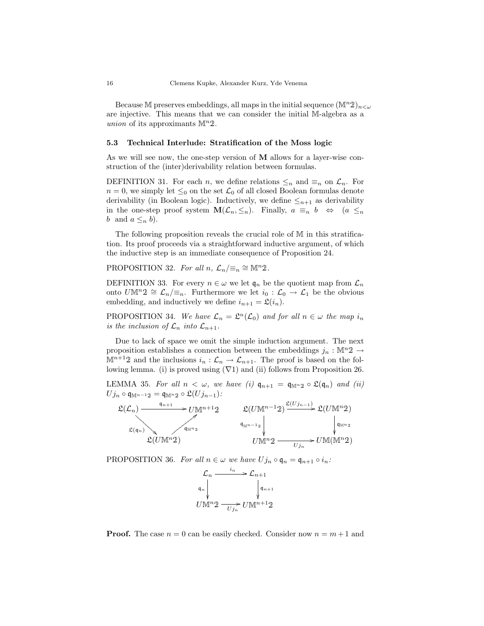Because M preserves embeddings, all maps in the initial sequence  $(\mathbb{M}^n 2)_{n \leq \omega}$ are injective. This means that we can consider the initial M-algebra as a union of its approximants  $\mathbb{M}^n 2$ .

#### 5.3 Technical Interlude: Stratification of the Moss logic

As we will see now, the one-step version of  **allows for a layer-wise con**struction of the (inter)derivability relation between formulas.

DEFINITION 31. For each n, we define relations  $\leq_n$  and  $\equiv_n$  on  $\mathcal{L}_n$ . For  $n = 0$ , we simply let  $\leq_0$  on the set  $\mathcal{L}_0$  of all closed Boolean formulas denote derivability (in Boolean logic). Inductively, we define  $\leq_{n+1}$  as derivability in the one-step proof system  $\mathbf{M}(\mathcal{L}_n, \leq_n)$ . Finally,  $a \equiv_n b \Leftrightarrow (a \leq_n)$ b and  $a \leq_n b$ .

The following proposition reveals the crucial role of M in this stratification. Its proof proceeds via a straightforward inductive argument, of which the inductive step is an immediate consequence of Proposition 24.

PROPOSITION 32. For all  $n, \mathcal{L}_n/\equiv_n \cong \mathbb{M}^n2$ .

DEFINITION 33. For every  $n \in \omega$  we let  $\mathfrak{q}_n$  be the quotient map from  $\mathcal{L}_n$ onto  $U\mathbb{M}^n2 \cong \mathcal{L}_n/\equiv_n$ . Furthermore we let  $i_0 : \mathcal{L}_0 \to \mathcal{L}_1$  be the obvious embedding, and inductively we define  $i_{n+1} = \mathfrak{L}(i_n)$ .

PROPOSITION 34. We have  $\mathcal{L}_n = \mathfrak{L}^n(\mathcal{L}_0)$  and for all  $n \in \omega$  the map  $i_n$ is the inclusion of  $\mathcal{L}_n$  into  $\mathcal{L}_{n+1}$ .

Due to lack of space we omit the simple induction argument. The next proposition establishes a connection between the embeddings  $j_n : \mathbb{M}^n 2 \to$  $\mathbb{M}^{n+1}$ 2 and the inclusions  $i_n : \mathcal{L}_n \to \mathcal{L}_{n+1}$ . The proof is based on the following lemma. (i) is proved using  $(\nabla 1)$  and (ii) follows from Proposition 26.

LEMMA 35. For all  $n < \omega$ , we have (i)  $\mathfrak{q}_{n+1} = \mathfrak{q}_{\mathbb{M}^n,2} \circ \mathfrak{L}(\mathfrak{q}_n)$  and (ii)  $U j_n \circ \mathfrak{q}_{\mathbb{M}^{n-1}2} = \mathfrak{q}_{\mathbb{M}^n2} \circ \mathfrak{L}(U j_{n-1})$ :

$$
\mathfrak{L}(\mathcal{L}_n) \xrightarrow{\mathfrak{q}_{n+1}} U \mathbb{M}^{n+1} 2 \qquad \mathfrak{L}(U \mathbb{M}^{n-1} 2) \xrightarrow{\mathfrak{L}(U \mathbb{M}^{n-1} 2)} \mathfrak{L}(U \mathbb{M}^{n} 2)
$$
  
\n
$$
\mathfrak{L}(\mathfrak{q}_n) \xrightarrow{\mathfrak{q}_{\mathbb{M}^{n}}}
$$
\n
$$
\mathfrak{L}(U \mathbb{M}^{n} 2) \qquad \qquad U \mathbb{M}^{n} 2 \xrightarrow{U \mathbb{M}^{n}} U \mathbb{M}(\mathbb{M}^{n} 2)
$$

PROPOSITION 36. For all  $n \in \omega$  we have  $Uj_n \circ \mathfrak{q}_n = \mathfrak{q}_{n+1} \circ i_n$ :



**Proof.** The case  $n = 0$  can be easily checked. Consider now  $n = m + 1$  and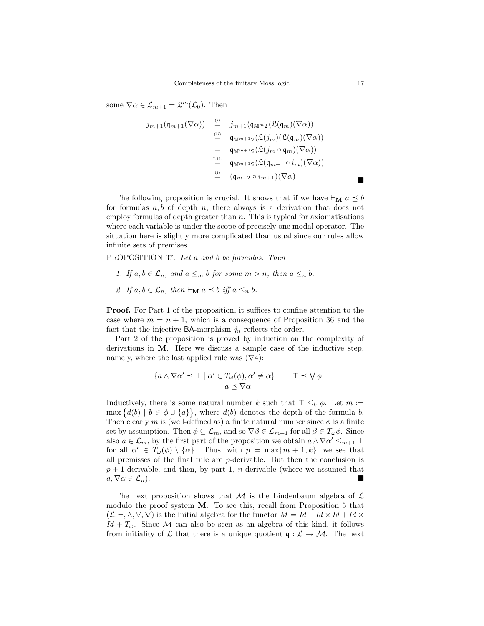some  $\nabla \alpha \in \mathcal{L}_{m+1} = \mathfrak{L}^m(\mathcal{L}_0)$ . Then

$$
j_{m+1}(\mathfrak{q}_{m+1}(\nabla\alpha)) = \sum_{\substack{\underline{\mathfrak{m}} \\ \underline{\mathfrak{m}}} \\ 0}^{\underline{\mathfrak{m}} + 1} \left( \mathfrak{q}_{\mathbb{M}^{m} 2}(\mathfrak{L}(\mathfrak{q}_{m})(\nabla\alpha)) \right) \\ = \mathfrak{q}_{\mathbb{M}^{m+1} 2}(\mathfrak{L}(j_m)(\mathfrak{L}(\mathfrak{q}_m)(\nabla\alpha)) \\ = \mathfrak{q}_{\mathbb{M}^{m+1} 2}(\mathfrak{L}(j_m \circ \mathfrak{q}_m)(\nabla\alpha)) \\ \stackrel{\underline{\mathfrak{m}}}{} = \mathfrak{q}_{\mathbb{M}^{m+1} 2}(\mathfrak{L}(\mathfrak{q}_{m+1} \circ i_m)(\nabla\alpha)) \\ \stackrel{\underline{\mathfrak{m}}}{} = (\mathfrak{q}_{m+2} \circ i_{m+1})(\nabla\alpha)
$$

The following proposition is crucial. It shows that if we have  $\vdash_M a \preceq b$ for formulas  $a, b$  of depth  $n$ , there always is a derivation that does not employ formulas of depth greater than  $n$ . This is typical for axiomatisations where each variable is under the scope of precisely one modal operator. The situation here is slightly more complicated than usual since our rules allow infinite sets of premises.

PROPOSITION 37. Let a and b be formulas. Then

- 1. If  $a, b \in \mathcal{L}_n$ , and  $a \leq_m b$  for some  $m > n$ , then  $a \leq_n b$ .
- 2. If  $a, b \in \mathcal{L}_n$ , then  $\vdash_{\mathbf{M}} a \preceq b$  iff  $a \leq_n b$ .

**Proof.** For Part 1 of the proposition, it suffices to confine attention to the case where  $m = n + 1$ , which is a consequence of Proposition 36 and the fact that the injective BA-morphism  $j_n$  reflects the order.

Part 2 of the proposition is proved by induction on the complexity of derivations in M. Here we discuss a sample case of the inductive step, namely, where the last applied rule was  $(\nabla 4)$ :

$$
\frac{\{a \wedge \nabla \alpha' \preceq \bot \mid \alpha' \in T_{\omega}(\phi), \alpha' \neq \alpha\}}{a \preceq \nabla \alpha} \qquad \qquad \top \preceq \bigvee \phi
$$

Inductively, there is some natural number k such that  $\top \leq_k \phi$ . Let  $m :=$  $\max \{d(b) \mid b \in \phi \cup \{a\}\},\$  where  $d(b)$  denotes the depth of the formula b. Then clearly m is (well-defined as) a finite natural number since  $\phi$  is a finite set by assumption. Then  $\phi \subseteq \mathcal{L}_m$ , and so  $\nabla \beta \in \mathcal{L}_{m+1}$  for all  $\beta \in T_\omega \phi$ . Since also  $a \in \mathcal{L}_m$ , by the first part of the proposition we obtain  $a \wedge \nabla \alpha' \leq_{m+1} \Delta$ for all  $\alpha' \in T_{\omega}(\phi) \setminus {\alpha}$ . Thus, with  $p = \max\{m + 1, k\}$ , we see that all premisses of the final rule are p-derivable. But then the conclusion is  $p+1$ -derivable, and then, by part 1, *n*-derivable (where we assumed that  $a, \nabla \alpha \in \mathcal{L}_n$ ).

The next proposition shows that M is the Lindenbaum algebra of  $\mathcal L$ modulo the proof system M. To see this, recall from Proposition 5 that  $(\mathcal{L}, \neg, \wedge, \vee, \nabla)$  is the initial algebra for the functor  $M = Id + Id \times Id + Id \times$  $Id + T_{\omega}$ . Since M can also be seen as an algebra of this kind, it follows from initiality of L that there is a unique quotient  $\mathfrak{q}: \mathcal{L} \to \mathcal{M}$ . The next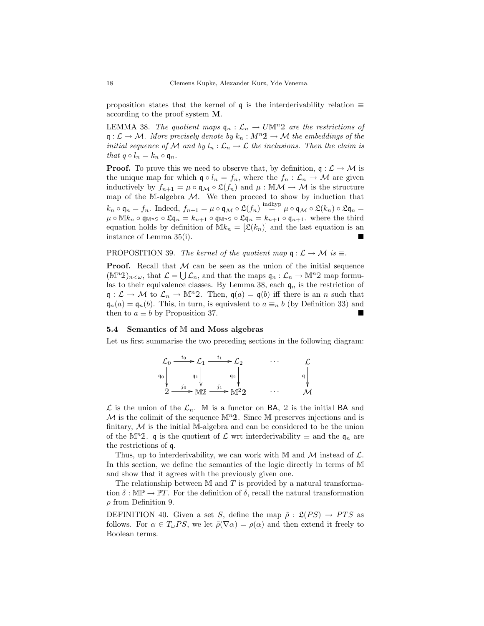proposition states that the kernel of  $\mathfrak q$  is the interderivability relation  $\equiv$ according to the proof system M.

LEMMA 38. The quotient maps  $\mathfrak{q}_n : \mathcal{L}_n \to U \mathbb{M}^n$  are the restrictions of  $\mathfrak{q}: \mathcal{L} \to \mathcal{M}$ . More precisely denote by  $k_n : M^n \mathfrak{D} \to \mathcal{M}$  the embeddings of the initial sequence of M and by  $l_n : \mathcal{L}_n \to \mathcal{L}$  the inclusions. Then the claim is that  $q \circ l_n = k_n \circ q_n$ .

**Proof.** To prove this we need to observe that, by definition,  $q: \mathcal{L} \to \mathcal{M}$  is the unique map for which  $\mathfrak{q} \circ l_n = f_n$ , where the  $f_n : \mathcal{L}_n \to \mathcal{M}$  are given inductively by  $f_{n+1} = \mu \circ \mathfrak{q}_M \circ \mathfrak{L}(\tilde{f}_n)$  and  $\mu : \mathbb{M} \mathcal{M} \to \mathcal{M}$  is the structure map of the M-algebra  $M$ . We then proceed to show by induction that  $k_n \circ \mathfrak{q}_n = f_n$ . Indeed,  $f_{n+1} = \mu \circ \mathfrak{q}_M \circ \mathfrak{L}(f_n) \stackrel{\text{indhyp}}{=} \mu \circ \mathfrak{q}_M \circ \mathfrak{L}(k_n) \circ \mathfrak{L} \mathfrak{q}_n =$  $\mu \circ \mathbb{M} k_n \circ \mathfrak{q}_{\mathbb{M}^n} \circ \mathfrak{L} \mathfrak{q}_n = k_{n+1} \circ \mathfrak{q}_{n+1} \circ \mathfrak{q}_{n+1}$ . where the third equation holds by definition of  $Mk_n = [\mathfrak{L}(k_n)]$  and the last equation is an instance of Lemma 35(i).

## PROPOSITION 39. The kernel of the quotient map  $\mathfrak{q}: \mathcal{L} \to \mathcal{M}$  is  $\equiv$ .

**Proof.** Recall that  $M$  can be seen as the union of the initial sequence  $(\mathbb{M}^n 2)_{n<\omega}$ , that  $\mathcal{L}=\bigcup \mathcal{L}_n$ , and that the maps  $\mathfrak{q}_n:\mathcal{L}_n\to \mathbb{M}^n 2$  map formulas to their equivalence classes. By Lemma 38, each  $\mathfrak{q}_n$  is the restriction of  $\mathfrak{q}: \mathcal{L} \to \mathcal{M}$  to  $\mathcal{L}_n \to \mathbb{M}^n$ . Then,  $\mathfrak{q}(a) = \mathfrak{q}(b)$  iff there is an n such that  $\mathfrak{q}_n(a) = \mathfrak{q}_n(b)$ . This, in turn, is equivalent to  $a \equiv_n b$  (by Definition 33) and then to  $a \equiv b$  by Proposition 37.

#### 5.4 Semantics of M and Moss algebras

Let us first summarise the two preceding sections in the following diagram:

|       | ιO | $\lambda$<br>50 | $\cdots$ |  |
|-------|----|-----------------|----------|--|
| $q_0$ |    | $q_2$           |          |  |
| ጣ     | Jυ | JI<br>$\Omega$  | $\cdots$ |  |

 $\mathcal L$  is the union of the  $\mathcal L_n$ . M is a functor on BA, 2 is the initial BA and  $\mathcal M$  is the colimit of the sequence  $\mathbb M^n$ 2. Since M preserves injections and is finitary,  $M$  is the initial M-algebra and can be considered to be the union of the M<sup>n</sup>2. q is the quotient of  $\mathcal L$  wrt interderivability  $\equiv$  and the  $\mathfrak q_n$  are the restrictions of q.

Thus, up to interderivability, we can work with M and  $\mathcal M$  instead of  $\mathcal L$ . In this section, we define the semantics of the logic directly in terms of M and show that it agrees with the previously given one.

The relationship between  $\mathbb M$  and  $T$  is provided by a natural transformation  $\delta : \mathbb{MP} \to \mathbb{P}T$ . For the definition of  $\delta$ , recall the natural transformation  $\rho$  from Definition 9.

DEFINITION 40. Given a set S, define the map  $\tilde{\rho}$  :  $\mathfrak{L}(PS) \to PTS$  as follows. For  $\alpha \in T_{\omega}PS$ , we let  $\tilde{\rho}(\nabla \alpha) = \rho(\alpha)$  and then extend it freely to Boolean terms.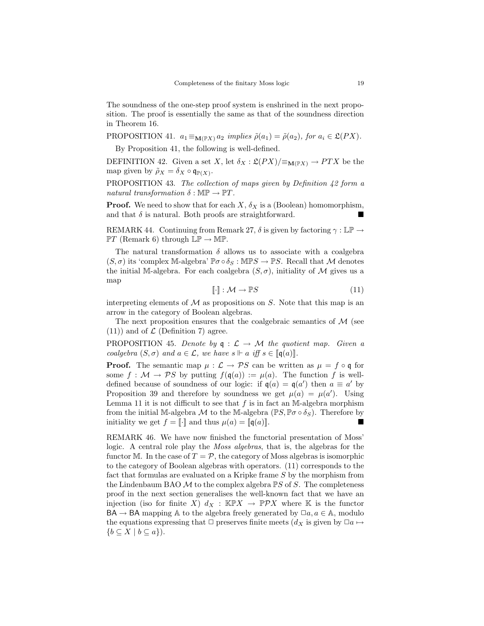The soundness of the one-step proof system is enshrined in the next proposition. The proof is essentially the same as that of the soundness direction in Theorem 16.

PROPOSITION 41.  $a_1 \equiv_{\mathbf{M}(\mathbb{P}X)} a_2$  implies  $\tilde{\rho}(a_1) = \tilde{\rho}(a_2)$ , for  $a_i \in \mathfrak{L}(PX)$ .

By Proposition 41, the following is well-defined.

DEFINITION 42. Given a set X, let  $\delta_X : \mathfrak{L}(PX)/\equiv_{\mathbf{M}(\mathbb{P}X)} \rightarrow PTX$  be the map given by  $\tilde{\rho}_X = \delta_X \circ \mathfrak{q}_{\mathbb{P}(X)}$ .

PROPOSITION 43. The collection of maps given by Definition 42 form a natural transformation  $\delta : \mathbb{MP} \to \mathbb{P}T$ .

**Proof.** We need to show that for each  $X$ ,  $\delta_X$  is a (Boolean) homomorphism, and that  $\delta$  is natural. Both proofs are straightforward.

REMARK 44. Continuing from Remark 27,  $\delta$  is given by factoring  $\gamma : \mathbb{LP} \to$  $\mathbb{P}T$  (Remark 6) through  $\mathbb{LP} \to \mathbb{MP}$ .

The natural transformation  $\delta$  allows us to associate with a coalgebra  $(S, \sigma)$  its 'complex M-algebra'  $\mathbb{P}\sigma \circ \delta_S : \mathbb{M} \mathbb{P} S \to \mathbb{P} S$ . Recall that M denotes the initial M-algebra. For each coalgebra  $(S, \sigma)$ , initiality of M gives us a map

$$
\left[\!\left[\cdot\right]\!\right] : \mathcal{M} \to \mathbb{P}S \tag{11}
$$

interpreting elements of  $\mathcal M$  as propositions on  $S$ . Note that this map is an arrow in the category of Boolean algebras.

The next proposition ensures that the coalgebraic semantics of  $\mathcal M$  (see  $(11)$  and of  $\mathcal L$  (Definition 7) agree.

PROPOSITION 45. Denote by  $q : \mathcal{L} \to \mathcal{M}$  the quotient map. Given a coalgebra  $(S, \sigma)$  and  $a \in \mathcal{L}$ , we have  $s \Vdash a$  iff  $s \in [\![\mathfrak{q}(a)]\!]$ .

**Proof.** The semantic map  $\mu : \mathcal{L} \to \mathcal{P}S$  can be written as  $\mu = f \circ \mathfrak{q}$  for some  $f : \mathcal{M} \to \mathcal{P}S$  by putting  $f(\mathfrak{q}(a)) := \mu(a)$ . The function f is welldefined because of soundness of our logic: if  $q(a) = q(a')$  then  $a \equiv a'$  by Proposition 39 and therefore by soundness we get  $\mu(a) = \mu(a')$ . Using Lemma 11 it is not difficult to see that  $f$  is in fact an M-algebra morphism from the initial M-algebra M to the M-algebra  $(\mathbb{P}S, \mathbb{P}\sigma \circ \delta_S)$ . Therefore by initiality we get  $f = \llbracket \cdot \rrbracket$  and thus  $\mu(a) = \llbracket \mathfrak{q}(a) \rrbracket$ .

REMARK 46. We have now finished the functorial presentation of Moss' logic. A central role play the Moss algebras, that is, the algebras for the functor M. In the case of  $T = \mathcal{P}$ , the category of Moss algebras is isomorphic to the category of Boolean algebras with operators. (11) corresponds to the fact that formulas are evaluated on a Kripke frame S by the morphism from the Lindenbaum BAO  $M$  to the complex algebra  $\mathbb{P}S$  of S. The completeness proof in the next section generalises the well-known fact that we have an injection (iso for finite X)  $d_X : \mathbb{K} \mathbb{P} X \to \mathbb{P} \mathcal{P} X$  where K is the functor  $BA \rightarrow BA$  mapping A to the algebra freely generated by  $\Box a, a \in A$ , modulo the equations expressing that  $\Box$  preserves finite meets  $(d_X$  is given by  $\Box a \mapsto$  ${b \subseteq X \mid b \subseteq a}.$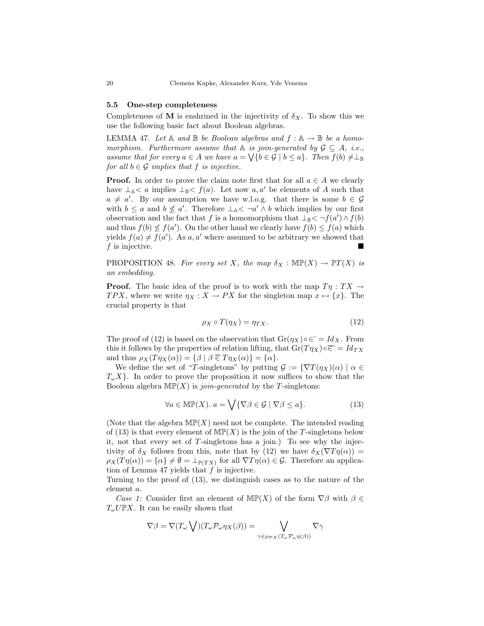#### 5.5 One-step completeness

Completeness of M is enshrined in the injectivity of  $\delta_X$ . To show this we use the following basic fact about Boolean algebras.

LEMMA 47. Let  $A$  and  $B$  be Boolean algebras and  $f : A \rightarrow B$  be a homomorphism. Furthermore assume that  $\mathbb A$  is join-generated by  $\mathcal{G} \subseteq A$ , i.e., assume that for every  $a \in A$  we have  $a = \bigvee \{b \in \mathcal{G} \mid b \leq a\}$ . Then  $f(b) \neq \perp_{\mathbb{B}}$ for all  $b \in \mathcal{G}$  implies that f is injective.

**Proof.** In order to prove the claim note first that for all  $a \in A$  we clearly have  $\perp_A < a$  implies  $\perp_B < f(a)$ . Let now a, a' be elements of A such that  $a \neq a'$ . By our assumption we have w.l.o.g. that there is some  $b \in \mathcal{G}$ with  $b \le a$  and  $b \nle a'$ . Therefore  $\perp_{A} < \neg a' \wedge b$  which implies by our first observation and the fact that f is a homomorphism that  $\perp_{\mathbb{B}} < \neg f(a') \wedge f(b)$ and thus  $f(b) \nleq f(a')$ . On the other hand we clearly have  $f(b) \leq f(a)$  which yields  $f(a) \neq f(a')$ . As a, a' where assumed to be arbitrary we showed that  $f$  is injective.

PROPOSITION 48. For every set X, the map  $\delta_X : \mathbb{MP}(X) \to \mathbb{P}T(X)$  is an embedding.

**Proof.** The basic idea of the proof is to work with the map  $T\eta : TX \to Y$ TPX, where we write  $\eta_X : X \to PX$  for the singleton map  $x \mapsto \{x\}$ . The crucial property is that

$$
\rho_X \circ T(\eta_X) = \eta_{TX}.\tag{12}
$$

The proof of (12) is based on the observation that  $Gr(\eta_X) \circ \epsilon^* = Id_X$ . From this it follows by the properties of relation lifting, that  $Gr(T\eta_X) \circ \overline{\in} = Id_{TX}$ and thus  $\rho_X(T\eta_X(\alpha)) = {\beta \mid \beta \in T\eta_X(\alpha)} = {\alpha}.$ 

We define the set of "T-singletons" by putting  $\mathcal{G} := \{ \nabla T(\eta_X)(\alpha) \mid \alpha \in$  $T_{\omega}X$ . In order to prove the proposition it now suffices to show that the Boolean algebra  $\text{MP}(X)$  is *join-generated* by the T-singletons:

$$
\forall a \in \text{MIP}(X). a = \bigvee \{ \nabla \beta \in \mathcal{G} \mid \nabla \beta \le a \}. \tag{13}
$$

(Note that the algebra  $\text{MP}(X)$  need not be complete. The intended reading of (13) is that every element of  $\mathbb{MP}(X)$  is the join of the T-singletons below it, not that every set of  $T$ -singletons has a join.) To see why the injectivity of  $\delta_X$  follows from this, note that by (12) we have  $\delta_X(\nabla T\eta(\alpha))$  =  $\rho_X(T\eta(\alpha)) = {\alpha} \neq \emptyset = \perp_{\mathbb{P}(TX)}$  for all  $\nabla T\eta(\alpha) \in \mathcal{G}$ . Therefore an application of Lemma 47 yields that  $f$  is injective.

Turning to the proof of (13), we distinguish cases as to the nature of the element a.

Case 1: Consider first an element of  $\mathbb{MP}(X)$  of the form  $\nabla \beta$  with  $\beta \in$  $T_{\omega}U\mathbb{P}X$ . It can be easily shown that

$$
\nabla \beta = \nabla (T_{\omega} \bigvee) (T_{\omega} \mathcal{P}_{\omega} \eta_X(\beta)) = \bigvee_{\gamma \in \rho_{\mathcal{P} X} (T_{\omega} \mathcal{P}_{\omega} \eta(\beta))} \nabla \gamma
$$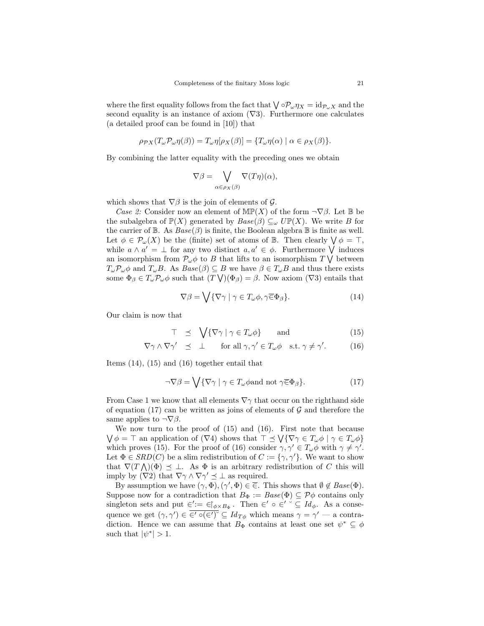where the first equality follows from the fact that  $\bigvee_{\alpha} \partial P_{\omega} \eta_X = id_{\mathcal{P}_{\omega} X}$  and the second equality is an instance of axiom  $(\nabla 3)$ . Furthermore one calculates (a detailed proof can be found in [10]) that

$$
\rho_{\mathcal{P}X}(T_{\omega}\mathcal{P}_{\omega}\eta(\beta)) = T_{\omega}\eta[\rho_X(\beta)] = \{T_{\omega}\eta(\alpha) \mid \alpha \in \rho_X(\beta)\}.
$$

By combining the latter equality with the preceding ones we obtain

$$
\nabla \beta = \bigvee_{\alpha \in \rho_X(\beta)} \nabla (T\eta)(\alpha),
$$

which shows that  $\nabla \beta$  is the join of elements of  $\mathcal{G}$ .

Case 2: Consider now an element of  $\text{MP}(X)$  of the form  $\neg \nabla \beta$ . Let B be the subalgebra of  $\mathbb{P}(X)$  generated by  $Base(\beta) \subseteq_{\omega} U\mathbb{P}(X)$ . We write B for the carrier of  $\mathbb B$ . As  $Base(\beta)$  is finite, the Boolean algebra  $\mathbb B$  is finite as well. Let  $\phi \in \mathcal{P}_{\omega}(X)$  be the (finite) set of atoms of B. Then clearly  $\bigvee \phi = \top$ , while  $a \wedge a' = \perp$  for any two distinct  $a, a' \in \phi$ . Furthermore  $\bigvee$  induces an isomorphism from  $\mathcal{P}_{\omega}\phi$  to B that lifts to an isomorphism  $T\bigvee$  between  $T_{\omega}P_{\omega}\phi$  and  $T_{\omega}B$ . As  $Base(\beta) \subseteq B$  we have  $\beta \in T_{\omega}B$  and thus there exists some  $\Phi_{\beta} \in T_{\omega} \mathcal{P}_{\omega} \phi$  such that  $(T \bigvee)(\Phi_{\beta}) = \beta$ . Now axiom  $(\nabla 3)$  entails that

$$
\nabla \beta = \bigvee \{ \nabla \gamma \mid \gamma \in T_{\omega} \phi, \gamma \overline{\in} \Phi_{\beta} \}. \tag{14}
$$

Our claim is now that

$$
\top \preceq \sqrt{\{\nabla \gamma \mid \gamma \in T_{\omega} \phi\}} \quad \text{and} \quad (15)
$$

$$
\nabla \gamma \wedge \nabla \gamma' \preceq \perp \quad \text{for all } \gamma, \gamma' \in T_{\omega} \phi \quad \text{s.t. } \gamma \neq \gamma'. \tag{16}
$$

Items (14), (15) and (16) together entail that

$$
\neg \nabla \beta = \bigvee \{ \nabla \gamma \mid \gamma \in T_{\omega} \phi \text{and not } \gamma \overline{\in} \Phi_{\beta} \}. \tag{17}
$$

From Case 1 we know that all elements  $\nabla \gamma$  that occur on the righthand side of equation (17) can be written as joins of elements of  $\mathcal G$  and therefore the same applies to  $\neg\nabla\beta$ .

We now turn to the proof of (15) and (16). First note that because  $\bigvee \phi = \top$  an application of  $(\nabla 4)$  shows that  $\top \preceq \bigvee {\nabla \gamma \in T_{\omega} \phi \mid \gamma \in T_{\omega} \phi}$ which proves (15). For the proof of (16) consider  $\gamma, \gamma' \in T_{\omega}\phi$  with  $\gamma \neq \gamma'$ . Let  $\Phi \in SRD(C)$  be a slim redistribution of  $C := {\gamma, \gamma'}$ . We want to show that  $\nabla (T \wedge)(\Phi) \preceq \perp$ . As  $\Phi$  is an arbitrary redistribution of C this will imply by  $(\nabla 2)$  that  $\nabla \gamma \wedge \nabla \gamma' \preceq \bot$  as required.

By assumption we have  $(\gamma, \Phi), (\gamma', \Phi) \in \overline{\in}$ . This shows that  $\emptyset \notin \text{Base}(\Phi)$ . Suppose now for a contradiction that  $B_{\Phi} := Base(\Phi) \subseteq \mathcal{P}\phi$  contains only singleton sets and put  $\in' := \in \, \mid_{\phi \times B_{\Phi}}$ . Then  $\in' \circ \in' \circ \subseteq Id_{\phi}$ . As a consequence we get  $(\gamma, \gamma') \in \overline{\epsilon' \circ (\epsilon')^{\circ}} \subseteq Id_{T\phi}$  which means  $\gamma = \gamma' - a$  contradiction. Hence we can assume that  $B_{\Phi}$  contains at least one set  $\psi^* \subseteq \phi$ such that  $|\psi^*| > 1$ .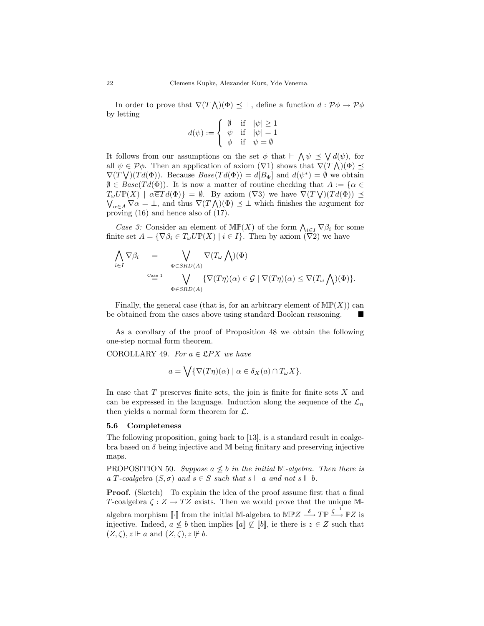In order to prove that  $\nabla(T\bigwedge)(\Phi) \preceq \bot$ , define a function  $d: \mathcal{P}\phi \to \mathcal{P}\phi$ by letting

$$
d(\psi) := \begin{cases} \n\begin{array}{ccc} \n\emptyset & \text{if} & |\psi| \ge 1 \\ \n\psi & \text{if} & |\psi| = 1 \\ \n\phi & \text{if} & \psi = \emptyset \n\end{array}\n\end{cases}
$$

It follows from our assumptions on the set  $\phi$  that  $\vdash \bigwedge \psi \preceq \bigvee d(\psi)$ , for all  $\psi \in \mathcal{P}\phi$ . Then an application of axiom  $(\nabla 1)$  shows that  $\nabla (T \wedge)(\Phi) \preceq$  $\nabla(T \bigvee)(Td(\Phi))$ . Because  $Base(Td(\Phi)) = d[B_{\Phi}]$  and  $d(\psi^*) = \emptyset$  we obtain  $\emptyset \in \text{Base}(Td(\Phi))$ . It is now a matter of routine checking that  $A := \{ \alpha \in$  $T_{\omega}U\mathbb{P}(X)$   $\mid \alpha \in Td(\Phi) \} = \emptyset$ . By axiom  $(\nabla 3)$  we have  $\tilde{\nabla}(T\bigvee)(Td(\Phi)) \preceq$  $\bigvee_{\alpha \in A} \nabla \alpha = \bot$ , and thus  $\nabla (T \bigwedge)(\Phi) \preceq \bot$  which finishes the argument for proving (16) and hence also of (17).

Case 3: Consider an element of  $\mathbb{MP}(X)$  of the form  $\bigwedge_{i\in I} \nabla \beta_i$  for some finite set  $A = \{ \nabla \beta_i \in T_\omega U \mathbb{P}(X) \mid i \in I \}.$  Then by axiom  $(\overline{\nabla}2)$  we have

$$
\bigwedge_{i \in I} \nabla \beta_i = \bigvee_{\substack{\Phi \in SRD(A) \\ \text{Case 1}}} \nabla (T_\omega \bigwedge)(\Phi)
$$
\n
$$
\bigwedge_{\substack{\text{Case 1} \\ \Phi \in SRD(A)}} \nabla (T_\eta)(\alpha) \in \mathcal{G} \mid \nabla (T\eta)(\alpha) \leq \nabla (T_\omega \bigwedge)(\Phi) \}.
$$

Finally, the general case (that is, for an arbitrary element of  $M\mathbb{P}(X)$ ) can be obtained from the cases above using standard Boolean reasoning.

As a corollary of the proof of Proposition 48 we obtain the following one-step normal form theorem.

COROLLARY 49. For  $a \in \mathcal{L}PX$  we have

$$
a = \bigvee \{ \nabla(T\eta)(\alpha) \mid \alpha \in \delta_X(a) \cap T_{\omega} X \}.
$$

In case that  $T$  preserves finite sets, the join is finite for finite sets  $X$  and can be expressed in the language. Induction along the sequence of the  $\mathcal{L}_n$ then yields a normal form theorem for  $\mathcal{L}$ .

#### 5.6 Completeness

The following proposition, going back to [13], is a standard result in coalgebra based on  $\delta$  being injective and M being finitary and preserving injective maps.

PROPOSITION 50. Suppose  $a \not\leq b$  in the initial M-algebra. Then there is a T-coalgebra  $(S, \sigma)$  and  $s \in S$  such that  $s \Vdash a$  and not  $s \Vdash b$ .

**Proof.** (Sketch) To explain the idea of the proof assume first that a final T-coalgebra  $\zeta : Z \to TZ$  exists. Then we would prove that the unique Malgebra morphism  $\llbracket \cdot \rrbracket$  from the initial M-algebra to MPZ  $\stackrel{\delta}{\longrightarrow} T\mathbb{P} \stackrel{\zeta^{-1}}{\longrightarrow} \mathbb{P}Z$  is injective. Indeed,  $a \not\leq b$  then implies  $\llbracket a \rrbracket \not\subseteq \llbracket b \rrbracket$ , ie there is  $z \in Z$  such that  $(Z,\zeta), z \Vdash a$  and  $(Z,\zeta), z \not\Vdash b$ .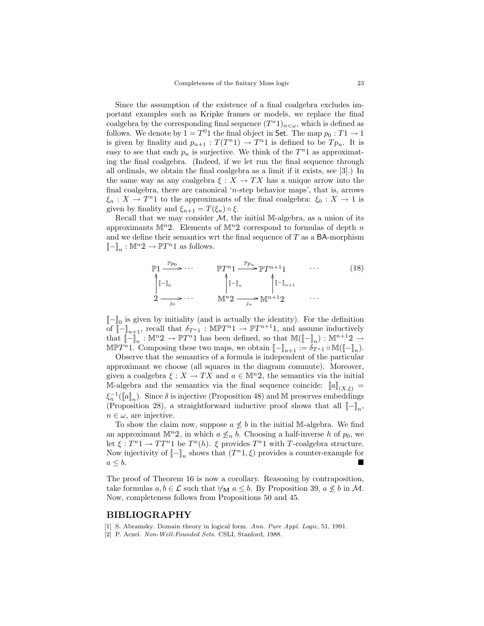Since the assumption of the existence of a final coalgebra excludes important examples such as Kripke frames or models, we replace the final coalgebra by the corresponding final sequence  $(T^{n_1})_{n<\omega}$ , which is defined as follows. We denote by  $1 = T^01$  the final object in Set. The map  $p_0: T1 \to 1$ is given by finality and  $p_{n+1} : T(T^{n_1}) \to T^{n_1}$  is defined to be  $Tp_n$ . It is easy to see that each  $p_n$  is surjective. We think of the  $T^n1$  as approximating the final coalgebra. (Indeed, if we let run the final sequence through all ordinals, we obtain the final coalgebra as a limit if it exists, see [3].) In the same way as any coalgebra  $\xi : X \to TX$  has a unique arrow into the final coalgebra, there are canonical 'n-step behavior maps', that is, arrows  $\xi_n: X \to T^{n_1}$  to the approximants of the final coalgebra:  $\xi_0: X \to 1$  is given by finality and  $\xi_{n+1} = T(\xi_n) \circ \xi$ .

Recall that we may consider  $M$ , the initial M-algebra, as a union of its approximants  $\mathbb{M}^n$ 2. Elements of  $\mathbb{M}^n$ 2 correspond to formulas of depth n and we define their semantics wrt the final sequence of  $T$  as a BA-morphism  $\llbracket - \rrbracket_n : \mathbb{M}^n 2 \to \mathbb{P} T^n 1$  as follows.

$$
\mathbb{P}1 \xrightarrow{\mathbb{P}p_0} \cdots \qquad \mathbb{P}T^{n}1 \xrightarrow{\mathbb{P}p_n} \mathbb{P}T^{n+1}1 \qquad \cdots \qquad (18)
$$
\n
$$
\uparrow \mathbb{I}_{0} \qquad \qquad \uparrow \mathbb{I}_{n} \qquad \qquad \uparrow \mathbb{I}_{n+1}
$$
\n
$$
2 \xrightarrow{j_0} \cdots \qquad \qquad \mathbb{M}^{n}2 \xrightarrow{j_n} \mathbb{M}^{n+1}2 \qquad \cdots
$$

 $[\![{-}]\!]_0$  is given by initiality (and is actually the identity). For the definition of  $\llbracket - \rrbracket_{n+1}$ , recall that  $\delta_{T^{n_1}} : \mathbb{M}\mathbb{P}T^{n_1} \to \mathbb{P}T^{n+1}1$ , and assume inductively that  $\llbracket - \rrbracket_n^{\cdot} : \mathbb{M}^n 2 \to \mathbb{P}T^n 1$  has been defined, so that  $\mathbb{M}(\llbracket - \rrbracket_n) : \mathbb{M}^{n+1} 2 \to$ MPT<sup>n</sup>1. Composing these two maps, we obtain  $[-]_{n+1} := \delta_{T^{n_1}} \circ M([\![-]\!]_n)$ .

Observe that the semantics of a formula is independent of the particular approximant we choose (all squares in the diagram commute). Moreover, given a coalgebra  $\xi : X \to TX$  and  $a \in M^n2$ , the semantics via the initial M-algebra and the semantics via the final sequence coincide:  $[[a]](X,\xi) =$  $\xi_n^{-1}(\llbracket a \rrbracket_n)$ . Since  $\delta$  is injective (Proposition 48) and M preserves embeddings (Proposition 28), a straightforward inductive proof shows that all  $[-\]_n$ ,  $n \in \omega$ , are injective.

To show the claim now, suppose  $a \not\leq b$  in the initial M-algebra. We find an approximant  $\mathbb{M}^n$ 2, in which  $a \nleq_n b$ . Choosing a half-inverse h of  $p_0$ , we let  $\xi : T^{n}1 \to T T^{n}1$  be  $T^{n}(h)$ .  $\xi$  provides  $T^{n}1$  with T-coalgebra structure. Now injectivity of  $\llbracket - \rrbracket_n$  shows that  $(T^n1, \xi)$  provides a counter-example for  $a \leq b$ .

The proof of Theorem 16 is now a corollary. Reasoning by contraposition, take formulas  $a, b \in \mathcal{L}$  such that  $\forall_{\mathbf{M}} a \leq b$ . By Proposition 39,  $a \not\leq b$  in M. Now, completeness follows from Propositions 50 and 45.

#### BIBLIOGRAPHY

[1] S. Abramsky. Domain theory in logical form. Ann. Pure Appl. Logic, 51, 1991.

[2] P. Aczel. Non-Well-Founded Sets. CSLI, Stanford, 1988.